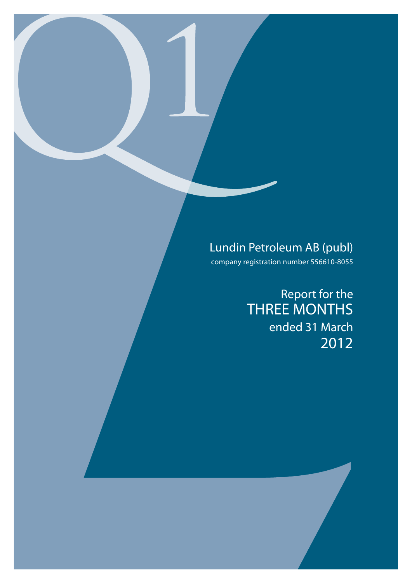# Lundin Petroleum AB (publ)

company registration number 556610-8055

Report for the THREE MONTHS 2012 ended 31 March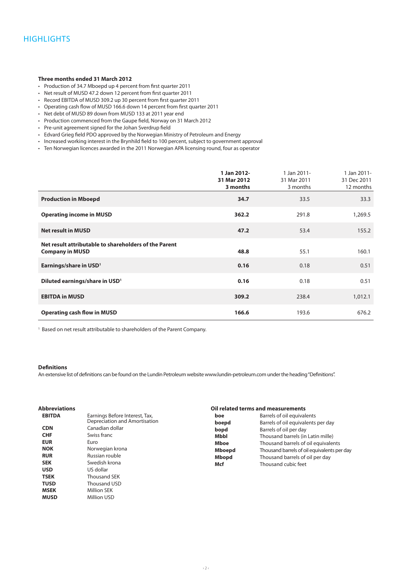### **HIGHLIGHTS**

#### **Three months ended 31 March 2012**

- • Production of 34.7 Mboepd up 4 percent from first quarter 2011
- • Net result of MUSD 47.2 down 12 percent from first quarter 2011
- • Record EBITDA of MUSD 309.2 up 30 percent from first quarter 2011
- • Operating cash flow of MUSD 166.6 down 14 percent from first quarter 2011
- Net debt of MUSD 89 down from MUSD 133 at 2011 year end
- Production commenced from the Gaupe field, Norway on 31 March 2012
- • Pre-unit agreement signed for the Johan Sverdrup field
- • Edvard Grieg field PDO approved by the Norwegian Ministry of Petroleum and Energy
- Increased working interest in the Brynhild field to 100 percent, subject to government approval
- Ten Norwegian licences awarded in the 2011 Norwegian APA licensing round, four as operator

|                                                                                 | 1 Jan 2012-<br>31 Mar 2012<br>3 months | 1 Jan 2011-<br>31 Mar 2011<br>3 months | 1 Jan 2011-<br>31 Dec 2011<br>12 months |
|---------------------------------------------------------------------------------|----------------------------------------|----------------------------------------|-----------------------------------------|
| <b>Production in Mboepd</b>                                                     | 34.7                                   | 33.5                                   | 33.3                                    |
| <b>Operating income in MUSD</b>                                                 | 362.2                                  | 291.8                                  | 1,269.5                                 |
| <b>Net result in MUSD</b>                                                       | 47.2                                   | 53.4                                   | 155.2                                   |
| Net result attributable to shareholders of the Parent<br><b>Company in MUSD</b> | 48.8                                   | 55.1                                   | 160.1                                   |
| Earnings/share in USD <sup>1</sup>                                              | 0.16                                   | 0.18                                   | 0.51                                    |
| Diluted earnings/share in USD <sup>1</sup>                                      | 0.16                                   | 0.18                                   | 0.51                                    |
| <b>EBITDA in MUSD</b>                                                           | 309.2                                  | 238.4                                  | 1,012.1                                 |
| <b>Operating cash flow in MUSD</b>                                              | 166.6                                  | 193.6                                  | 676.2                                   |

<sup>1</sup> Based on net result attributable to shareholders of the Parent Company.

#### **Definitions**

An extensive list of definitions can be found on the Lundin Petroleum website www.lundin-petroleum.com underthe heading"Definitions".

#### **Abbreviations**

| <b>EBITDA</b> | Earnings Before Interest, Tax, | boe           | Barrels of oil equivalents                  |
|---------------|--------------------------------|---------------|---------------------------------------------|
|               | Depreciation and Amortisation  | boepd         | Barrels of oil equivalents per day          |
| <b>CDN</b>    | Canadian dollar                | bopd          | Barrels of oil per day                      |
| <b>CHF</b>    | Swiss franc                    | Mbbl          | Thousand barrels (in Latin mille)           |
| <b>EUR</b>    | Euro                           | Mboe          | Thousand barrels of oil equivalents         |
| <b>NOK</b>    | Norwegian krona                | <b>Mboepd</b> | Thousand barrels of oil equivalents per day |
| <b>RUR</b>    | Russian rouble                 | <b>Mbopd</b>  | Thousand barrels of oil per day             |
| <b>SEK</b>    | Swedish krona                  | Mcf           | Thousand cubic feet                         |
| <b>USD</b>    | US dollar                      |               |                                             |
| <b>TSEK</b>   | <b>Thousand SEK</b>            |               |                                             |
| <b>TUSD</b>   | Thousand USD                   |               |                                             |
| <b>MSEK</b>   | <b>Million SEK</b>             |               |                                             |
| <b>MUSD</b>   | Million USD                    |               |                                             |

**Oil related terms and measurements**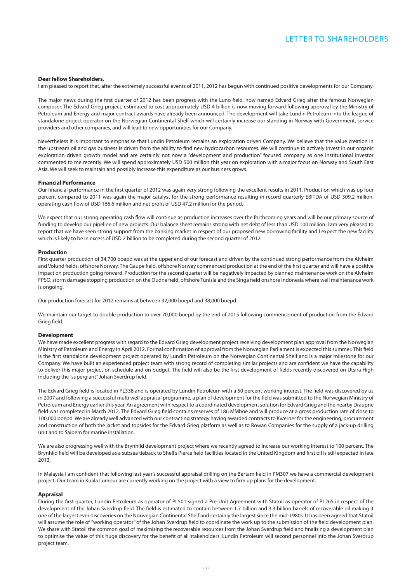#### **Dear fellow Shareholders,**

I am pleased to report that, after the extremely successful events of 2011, 2012 has begun with continued positive developments for our Company.

The major news during the first quarter of 2012 has been progress with the Luno field, now named Edvard Grieg after the famous Norwegian composer. The Edvard Grieg project, estimated to cost approximately USD 4 billion is now moving forward following approval by the Ministry of Petroleum and Energy and major contract awards have already been announced. The development will take Lundin Petroleum into the league of standalone project operator on the Norwegian Continental Shelf which will certainly increase our standing in Norway with Government, service providers and other companies, and will lead to new opportunities for our Company.

Nevertheless it is important to emphasise that Lundin Petroleum remains an exploration driven Company. We believe that the value creation in the upstream oil and gas business is driven from the ability to find new hydrocarbon resources. We will continue to actively invest in our organic exploration driven growth model and are certainly not now a "development and production" focused company as one institutional investor commented to me recently. We will spend approximately USD 500 million this year on exploration with a major focus on Norway and South East Asia. We will seek to maintain and possibly increase this expenditure as our business grows.

#### **Financial Performance**

Our financial performance in the first quarter of 2012 was again very strong following the excellent results in 2011. Production which was up four percent compared to 2011 was again the major catalyst for the strong performance resulting in record quarterly EBITDA of USD 309.2 million, operating cash flow of USD 166.6 million and net profit of USD 47.2 million for the period.

We expect that our strong operating cash flow will continue as production increases over the forthcoming years and will be our primary source of funding to develop our pipeline of new projects. Our balance sheet remains strong with net debt of less than USD 100 million. I am very pleased to report that we have seen strong support from the banking market in respect of our proposed new borrowing facility and I expect the new facility which is likely to be in excess of USD 2 billion to be completed during the second quarter of 2012.

#### **Production**

First quarter production of 34,700 boepd was at the upper end of our forecast and driven by the continued strong performance from the Alvheim and Volund fields, offshore Norway. The Gaupe field, offshore Norway commenced production at the end of the first quarter and will have a positive impact on production going forward. Production for the second quarter will be negatively impacted by planned maintenance work on the Alvheim FPSO, storm damage stopping production on the Oudna field, offshore Tunisia and the Singa field onshore Indonesia where well maintenance work is ongoing.

Our production forecast for 2012 remains at between 32,000 boepd and 38,000 boepd.

We maintain our target to double production to over 70,000 boepd by the end of 2015 following commencement of production from the Edvard Grieg field.

#### **Development**

We have made excellent progress with regard to the Edvard Grieg development project receiving development plan approval from the Norwegian Ministry of Petroleum and Energy in April 2012. Formal confirmation of approval from the Norwegian Parliament is expected this summer. This field is the first standalone development project operated by Lundin Petroleum on the Norwegian Continental Shelf and is a major milestone for our Company. We have built an experienced project team with strong record of completing similar projects and are confident we have the capability to deliver this major project on schedule and on budget. The field will also be the first development of fields recently discovered on Utsira High including the "supergiant"Johan Sverdrup field.

The Edvard Grieg field is located in PL338 and is operated by Lundin Petroleum with a 50 percent working interest. The field was discovered by us in 2007 and following a successful multi well appraisal programme, a plan of development for the field was submitted to the Norwegian Ministry of Petroleum and Energy earlier this year. An agreement with respect to a coordinated development solution for Edvard Grieg and the nearby Draupne field was completed in March 2012. The Edvard Grieg field contains reserves of 186 MMboe and will produce at a gross production rate of close to 100,000 boepd. We are already well advanced with our contracting strategy having awarded contractsto Kværner for the engineering, procurement and construction of both the jacket and topsides for the Edvard Grieg platform as well as to Rowan Companies for the supply of a jack-up drilling unit and to Saipem for marine installation.

We are also progressing well with the Brynhild development project where we recently agreed to increase our working interest to 100 percent. The Brynhild field will be developed as a subsea tieback to Shell's Pierce field facilities located in the United Kingdom and first oil is still expected in late 2013.

In Malaysia I am confident that following last year's successful appraisal drilling on the Bertam field in PM307 we have a commercial development project. Our team in Kuala Lumpur are currently working on the project with a view to firm up plans for the development.

#### **Appraisal**

During the first quarter, Lundin Petroleum as operator of PL501 signed a Pre-Unit Agreement with Statoil as operator of PL265 in respect of the development of the Johan Sverdrup field. The field is estimated to contain between 1.7 billion and 3.3 billion barrels of recoverable oil making it one of the largest ever discoveries on the Norwegian Continental Shelf and certainly the largestsince the mid-1980s. It has been agreed that Statoil will assume the role of "working operator" of the Johan Sverdrup field to coordinate the work up to the submission of the field development plan. We share with Statoil the common goal of maximising the recoverable resources from the Johan Sverdrup field and finalising a development plan to optimise the value of this huge discovery for the benefit of all stakeholders. Lundin Petroleum will second personnel into the Johan Sverdrup project team.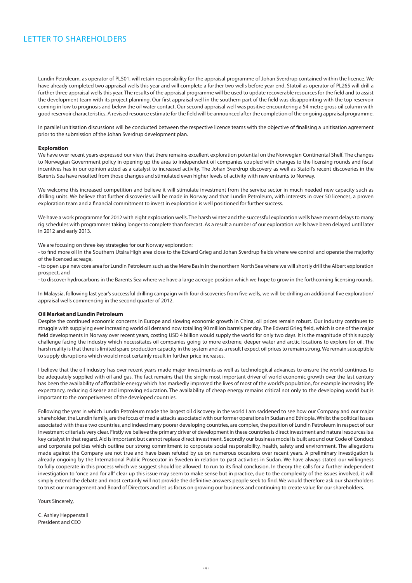### LETTER TO SHAREHOLDERS

Lundin Petroleum, as operator of PL501, will retain responsibility for the appraisal programme of Johan Sverdrup contained within the licence. We have already completed two appraisal wells this year and will complete a further two wells before year end. Statoil as operator of PL265 will drill a further three appraisal wells this year. The results of the appraisal programme will be used to update recoverable resources for the field and to assist the development team with its project planning. Our first appraisal well in the southern part of the field was disappointing with the top reservoir coming in low to prognosis and below the oil water contact. Our second appraisal well was positive encountering a 54 metre gross oil column with good reservoir characteristics. A revised resource estimate for the field will be announced after the completion of the ongoing appraisal programme.

In parallel unitisation discussions will be conducted between the respective licence teams with the objective of finalising a unitisation agreement prior to the submission of the Johan Sverdrup development plan.

#### **Exploration**

We have over recent years expressed our view that there remains excellent exploration potential on the Norwegian Continental Shelf. The changes to Norwegian Government policy in opening up the area to independent oil companies coupled with changes to the licensing rounds and fiscal incentives has in our opinion acted as a catalyst to increased activity. The Johan Sverdrup discovery as well as Statoil's recent discoveries in the Barents Sea have resulted from those changes and stimulated even higher levels of activity with new entrants to Norway.

We welcome this increased competition and believe it will stimulate investment from the service sector in much needed new capacity such as drilling units. We believe that further discoveries will be made in Norway and that Lundin Petroleum, with interests in over 50 licences, a proven exploration team and a financial commitment to invest in exploration is well positioned for further success.

We have a work programme for 2012 with eight exploration wells. The harsh winter and the successful exploration wells have meant delays to many rig schedules with programmestaking longer to complete than forecast. As a result a number of our exploration wells have been delayed until later in 2012 and early 2013.

We are focusing on three key strategies for our Norway exploration:

- to find more oil in the Southern Utsira High area close to the Edvard Grieg and Johan Sverdrup fields where we control and operate the majority of the licenced acreage,

- to open up a new core area for Lundin Petroleum such asthe Møre Basin in the northern North Sea where we willshortly drill the Albert exploration prospect, and

- to discover hydrocarbons in the Barents Sea where we have a large acreage position which we hope to grow in the forthcoming licensing rounds.

In Malaysia, following last year's successful drilling campaign with four discoveries from five wells, we will be drilling an additional five exploration/ appraisal wells commencing in the second quarter of 2012.

#### **Oil Market and Lundin Petroleum**

Despite the continued economic concerns in Europe and slowing economic growth in China, oil prices remain robust. Our industry continues to struggle with supplying ever increasing world oil demand now totalling 90 million barrels per day. The Edvard Grieg field, which is one of the major field developments in Norway over recent years, costing USD 4 billion would supply the world for only two days. It is the magnitude of this supply challenge facing the industry which necessitates oil companies going to more extreme, deeper water and arctic locations to explore for oil. The harsh reality is that there is limited spare production capacity in the system and as a result I expect oil prices to remain strong. We remain susceptible to supply disruptions which would most certainly result in further price increases.

I believe that the oil industry has over recent years made major investments as well as technological advances to ensure the world continues to be adequately supplied with oil and gas. The fact remains that the single most important driver of world economic growth over the last century has been the availability of affordable energy which has markedly improved the lives of most of the world's population, for example increasing life expectancy, reducing disease and improving education. The availability of cheap energy remains critical not only to the developing world but is important to the competiveness of the developed countries.

Following the year in which Lundin Petroleum made the largest oil discovery in the world I am saddened to see how our Company and our major shareholder, the Lundin family, are the focus of media attacks associated with our former operationsin Sudan and Ethiopia.Whilst the political issues associated with these two countries, and indeed many poorer developing countries, are complex, the position of Lundin Petroleum in respect of our investment criteria is very clear. Firstly we believe the primary driver of development in these countries is direct investment and natural resources is a key catalyst in that regard. Aid isimportant but cannot replace direct investment. Secondly our business model is built around our Code of Conduct and corporate policies which outline our strong commitment to corporate social responsibility, health, safety and environment. The allegations made against the Company are not true and have been refuted by us on numerous occasions over recent years. A preliminary investigation is already ongoing by the International Public Prosecutor in Sweden in relation to past activities in Sudan. We have always stated our willingness to fully cooperate in this process which we suggest should be allowed to run to its final conclusion. In theory the calls for a further independent investigation to "once and for all" clear up this issue may seem to make sense but in practice, due to the complexity of the issues involved, it will simply extend the debate and most certainly will not provide the definitive answers people seek to find. We would therefore ask our shareholders to trust our management and Board of Directors and let us focus on growing our business and continuing to create value for our shareholders.

Yours Sincerely,

C. Ashley Heppenstall President and CEO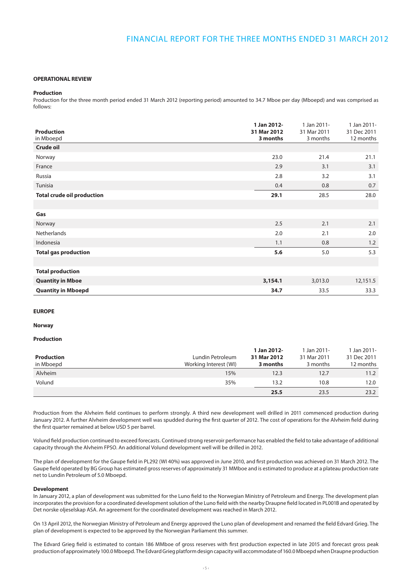#### **OPERATIONAL REVIEW**

#### **Production**

Production for the three month period ended 31 March 2012 (reporting period) amounted to 34.7 Mboe per day (Mboepd) and was comprised as follows:

| <b>Production</b><br>in Mboepd    | 1 Jan 2012-<br>31 Mar 2012<br>3 months | 1 Jan 2011-<br>31 Mar 2011<br>3 months | 1 Jan 2011-<br>31 Dec 2011<br>12 months |
|-----------------------------------|----------------------------------------|----------------------------------------|-----------------------------------------|
| Crude oil                         |                                        |                                        |                                         |
| Norway                            | 23.0                                   | 21.4                                   | 21.1                                    |
| France                            | 2.9                                    | 3.1                                    | 3.1                                     |
| Russia                            | 2.8                                    | 3.2                                    | 3.1                                     |
| Tunisia                           | 0.4                                    | 0.8                                    | 0.7                                     |
| <b>Total crude oil production</b> | 29.1                                   | 28.5                                   | 28.0                                    |
|                                   |                                        |                                        |                                         |
| Gas                               |                                        |                                        |                                         |
| Norway                            | 2.5                                    | 2.1                                    | 2.1                                     |
| Netherlands                       | 2.0                                    | 2.1                                    | 2.0                                     |
| Indonesia                         | 1.1                                    | 0.8                                    | 1.2                                     |
| <b>Total gas production</b>       | 5.6                                    | 5.0                                    | 5.3                                     |
|                                   |                                        |                                        |                                         |
| <b>Total production</b>           |                                        |                                        |                                         |
| <b>Quantity in Mboe</b>           | 3,154.1                                | 3,013.0                                | 12,151.5                                |
| <b>Quantity in Mboepd</b>         | 34.7                                   | 33.5                                   | 33.3                                    |

#### **EUROPE**

#### **Norway**

#### **Production**

|            |                       | 1 Jan 2012- | l Jan 2011- | 1 Jan 2011- |
|------------|-----------------------|-------------|-------------|-------------|
| Production | Lundin Petroleum      | 31 Mar 2012 | 31 Mar 2011 | 31 Dec 2011 |
| in Mboepd  | Working Interest (WI) | 3 months    | 3 months    | 12 months   |
| Alvheim    | 15%                   | 12.3        | 12.7        | 11.2        |
| Volund     | 35%                   | 13.2        | 10.8        | 12.0        |
|            |                       | 25.5        | 23.5        | 23.2        |

Production from the Alvheim field continues to perform strongly. A third new development well drilled in 2011 commenced production during January 2012. A further Alvheim development well was spudded during the first quarter of 2012. The cost of operations for the Alvheim field during the first quarter remained at below USD 5 per barrel.

Volund field production continued to exceed forecasts. Continued strong reservoir performance has enabled the field to take advantage of additional capacity through the Alvheim FPSO. An additional Volund development well will be drilled in 2012.

The plan of development for the Gaupe field in PL292 (WI 40%) was approved in June 2010, and first production was achieved on 31 March 2012. The Gaupe field operated by BG Group has estimated gross reserves of approximately 31 MMboe and is estimated to produce at a plateau production rate net to Lundin Petroleum of 5.0 Mboepd.

#### **Development**

In January 2012, a plan of development was submitted for the Luno field to the Norwegian Ministry of Petroleum and Energy. The development plan incorporatesthe provision for a coordinated developmentsolution of the Luno field with the nearby Draupne field located in PL001B and operated by Det norske oljeselskap ASA. An agreement for the coordinated development was reached in March 2012.

On 13 April 2012, the Norwegian Ministry of Petroleum and Energy approved the Luno plan of development and renamed the field Edvard Grieg. The plan of development is expected to be approved by the Norwegian Parliament this summer.

The Edvard Grieg field is estimated to contain 186 MMboe of gross reserves with first production expected in late 2015 and forecast gross peak production of approximately 100.0 Mboepd. The Edvard Grieg platform design capacity will accommodate of 160.0 Mboepd when Draupne production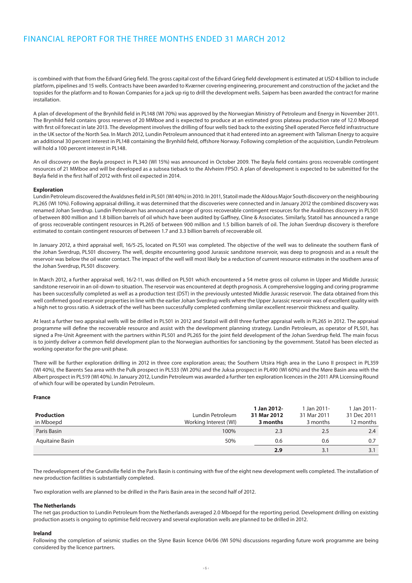### FINANCIAL REPORT FOR THE THREE MONTHS ENDED 31 MARCH 2012

is combined with that from the Edvard Grieg field. The gross capital cost of the Edvard Grieg field development is estimated at USD 4 billion to include platform, pipelines and 15 wells. Contracts have been awarded to Kværner covering engineering, procurement and construction of the jacket and the topsides for the platform and to Rowan Companies for a jack up rig to drill the development wells. Saipem has been awarded the contract for marine installation.

A plan of development of the Brynhild field in PL148 (WI 70%) was approved by the Norwegian Ministry of Petroleum and Energy in November 2011. The Brynhild field contains gross reserves of 20 MMboe and is expected to produce at an estimated gross plateau production rate of 12.0 Mboepd with first oil forecast in late 2013. The development involves the drilling of four wells tied back to the existing Shell operated Pierce field infrastructure in the UK sector of the North Sea. In March 2012, Lundin Petroleum announced that it had entered into an agreement with Talisman Energy to acquire an additional 30 percent interest in PL148 containing the Brynhild field, offshore Norway. Following completion of the acquisition, Lundin Petroleum will hold a 100 percent interest in PL148.

An oil discovery on the Bøyla prospect in PL340 (WI 15%) was announced in October 2009. The Bøyla field contains gross recoverable contingent resources of 21 MMboe and will be developed as a subsea tieback to the Alvheim FPSO. A plan of development is expected to be submitted for the Bøyla field in the first half of 2012 with first oil expected in 2014.

#### **Exploration**

Lundin Petroleum discovered theAvaldsnes field in PL501 (WI 40%) in 2010. In 2011, Statoil made theAldous Major South discovery on the neighbouring PL265 (WI 10%). Following appraisal drilling, it was determined that the discoveries were connected and in January 2012 the combined discovery was renamed Johan Sverdrup. Lundin Petroleum has announced a range of gross recoverable contingent resources for the Avaldsnes discovery in PL501 of between 800 million and 1.8 billion barrels of oil which have been audited by Gaffney, Cline & Associates. Similarly, Statoil has announced a range of gross recoverable contingent resources in PL265 of between 900 million and 1.5 billion barrels of oil. The Johan Sverdrup discovery is therefore estimated to contain contingent resources of between 1.7 and 3.3 billion barrels of recoverable oil.

In January 2012, a third appraisal well, 16/5-2S, located on PL501 was completed. The objective of the well was to delineate the southern flank of the Johan Sverdrup, PL501 discovery. The well, despite encountering good Jurassic sandstone reservoir, was deep to prognosis and as a result the reservoir was below the oil water contact. The impact of the well will most likely be a reduction of current resource estimates in the southern area of the Johan Sverdrup, PL501 discovery.

In March 2012, a further appraisal well, 16/2-11, was drilled on PL501 which encountered a 54 metre gross oil column in Upper and Middle Jurassic sandstone reservoir in an oil-down-to situation. The reservoir was encountered at depth prognosis. A comprehensive logging and coring programme has been successfully completed as well as a production test (DST) in the previously untested Middle Jurassic reservoir. The data obtained from this well confirmed good reservoir propertiesin line with the earlier Johan Sverdrup wells where the Upper Jurassic reservoir was of excellent quality with a high net to gross ratio. A sidetrack of the well has been successfully completed confirming similar excellent reservoir thickness and quality.

At least a further two appraisal wells will be drilled in PL501 in 2012 and Statoil will drill three further appraisal wells in PL265 in 2012. The appraisal programme will define the recoverable resource and assist with the development planning strategy. Lundin Petroleum, as operator of PL501, has signed a Pre-Unit Agreement with the partners within PL501 and PL265 for the joint field development of the Johan Sverdrup field. The main focus is to jointly deliver a common field development plan to the Norwegian authorities for sanctioning by the government. Statoil has been elected as working operator for the pre-unit phase.

There will be further exploration drilling in 2012 in three core exploration areas; the Southern Utsira High area in the Luno II prospect in PL359 (WI 40%), the Barents Sea area with the Pulk prospect in PL533 (WI 20%) and the Juksa prospect in PL490 (WI 60%) and the Møre Basin area with the Albert prospect in PL519 (WI 40%). In January 2012, Lundin Petroleum was awarded a further ten exploration licencesin the 2011 APA Licensing Round of which four will be operated by Lundin Petroleum.

#### **France**

| Production<br>in Mboepd | Lundin Petroleum<br>Working Interest (WI) | 1 Jan 2012-<br>31 Mar 2012<br>3 months | 1 Jan 2011-<br>31 Mar 2011<br>3 months | 1 Jan 2011-<br>31 Dec 2011<br>12 months |
|-------------------------|-------------------------------------------|----------------------------------------|----------------------------------------|-----------------------------------------|
| Paris Basin             | 100%                                      | 2.3                                    | 2.5                                    | 2.4                                     |
| Aquitaine Basin         | 50%                                       | 0.6                                    | 0.6                                    | 0.7                                     |
|                         |                                           | 2.9                                    | 3.1                                    | 3.1                                     |

The redevelopment of the Grandville field in the Paris Basin is continuing with five of the eight new development wells completed. The installation of new production facilities is substantially completed.

Two exploration wells are planned to be drilled in the Paris Basin area in the second half of 2012.

#### **The Netherlands**

The net gas production to Lundin Petroleum from the Netherlands averaged 2.0 Mboepd for the reporting period. Development drilling on existing production assets is ongoing to optimise field recovery and several exploration wells are planned to be drilled in 2012.

#### **Ireland**

Following the completion of seismic studies on the Slyne Basin licence 04/06 (WI 50%) discussions regarding future work programme are being considered by the licence partners.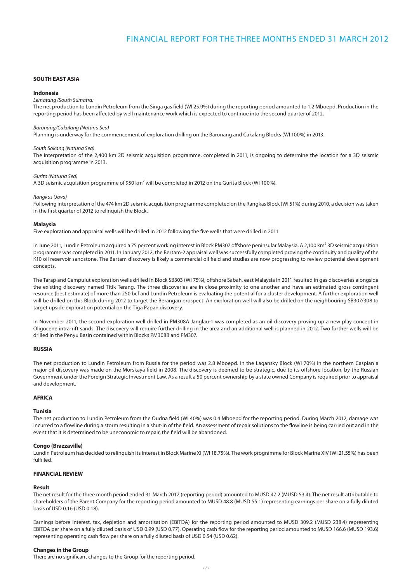### FINANCIAL REPORT FOR THE THREE MONTHS ENDED 31 MARCH 2012

#### **SOUTH EAST ASIA**

#### **Indonesia**

#### *Lematang (South Sumatra)*

The net production to Lundin Petroleum from the Singa gas field (WI 25.9%) during the reporting period amounted to 1.2 Mboepd. Production in the reporting period has been affected by well maintenance work which is expected to continue into the second quarter of 2012.

#### *Baronang/Cakalang (Natuna Sea)*

Planning is underway for the commencement of exploration drilling on the Baronang and Cakalang Blocks (WI 100%) in 2013.

#### *South Sokang (Natuna Sea)*

The interpretation of the 2,400 km 2D seismic acquisition programme, completed in 2011, is ongoing to determine the location for a 3D seismic acquisition programme in 2013.

#### *Gurita (Natuna Sea)*

A 3D seismic acquisition programme of 950 km² will be completed in 2012 on the Gurita Block (WI 100%).

#### *Rangkas (Java)*

Following interpretation of the 474 km 2D seismic acquisition programme completed on the Rangkas Block (WI 51%) during 2010, a decision wastaken in the first quarter of 2012 to relinquish the Block.

#### **Malaysia**

Five exploration and appraisal wells will be drilled in 2012 following the five wells that were drilled in 2011.

In June 2011, Lundin Petroleum acquired a 75 percent working interest in Block PM307 offshore peninsular Malaysia. A 2,100 km<sup>2</sup> 3D seismic acquisition programme was completed in 2011. In January 2012, the Bertam-2 appraisal well wassuccessfully completed proving the continuity and quality of the K10 oil reservoir sandstone. The Bertam discovery is likely a commercial oil field and studies are now progressing to review potential development concepts.

The Tarap and Cempulut exploration wells drilled in Block SB303 (WI 75%), offshore Sabah, east Malaysia in 2011 resulted in gas discoveries alongside the existing discovery named Titik Terang. The three discoveries are in close proximity to one another and have an estimated gross contingent resource (best estimate) of more than 250 bcf and Lundin Petroleum is evaluating the potential for a cluster development. A further exploration well will be drilled on this Block during 2012 to target the Berangan prospect. An exploration well will also be drilled on the neighbouring SB307/308 to target upside exploration potential on the Tiga Papan discovery.

In November 2011, the second exploration well drilled in PM308A Janglau-1 was completed as an oil discovery proving up a new play concept in Oligocene intra-rift sands. The discovery will require further drilling in the area and an additional well is planned in 2012. Two further wells will be drilled in the Penyu Basin contained within Blocks PM308B and PM307.

#### **RUSSIA**

The net production to Lundin Petroleum from Russia for the period was 2.8 Mboepd. In the Lagansky Block (WI 70%) in the northern Caspian a major oil discovery was made on the Morskaya field in 2008. The discovery is deemed to be strategic, due to its offshore location, by the Russian Government under the Foreign Strategic Investment Law. As a result a 50 percent ownership by a state owned Company is required prior to appraisal and development.

#### **AFRICA**

#### **Tunisia**

The net production to Lundin Petroleum from the Oudna field (WI 40%) was 0.4 Mboepd for the reporting period. During March 2012, damage was incurred to a flowline during a storm resulting in a shut-in of the field. An assessment of repair solutions to the flowline is being carried out and in the event that it is determined to be uneconomic to repair, the field will be abandoned.

#### **Congo (Brazzaville)**

Lundin Petroleum has decided to relinquish itsinterest in Block Marine XI (WI 18.75%). The work programme for Block Marine XIV (WI 21.55%) has been fulfilled.

#### **FINANCIAL REVIEW**

#### **Result**

The net result for the three month period ended 31 March 2012 (reporting period) amounted to MUSD 47.2 (MUSD 53.4). The net result attributable to shareholders of the Parent Company for the reporting period amounted to MUSD 48.8 (MUSD 55.1) representing earnings per share on a fully diluted basis of USD 0.16 (USD 0.18).

Earnings before interest, tax, depletion and amortisation (EBITDA) for the reporting period amounted to MUSD 309.2 (MUSD 238.4) representing EBITDA per share on a fully diluted basis of USD 0.99 (USD 0.77). Operating cash flow for the reporting period amounted to MUSD 166.6 (MUSD 193.6) representing operating cash flow per share on a fully diluted basis of USD 0.54 (USD 0.62).

#### **Changes in the Group**

There are no significant changes to the Group for the reporting period.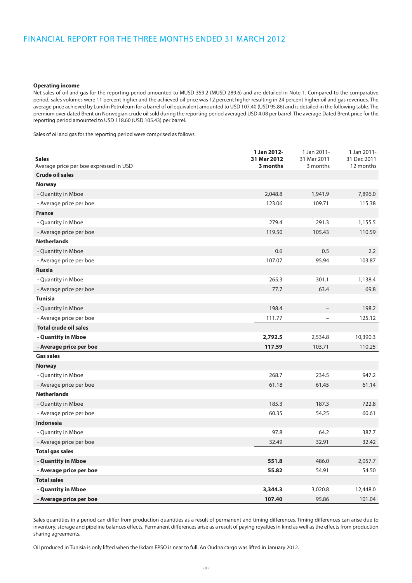#### **Operating income**

Net sales of oil and gas for the reporting period amounted to MUSD 359.2 (MUSD 289.6) and are detailed in Note 1. Compared to the comparative period, sales volumes were 11 percent higher and the achieved oil price was 12 percent higher resulting in 24 percent higher oil and gas revenues. The average price achieved by Lundin Petroleum for a barrel of oil equivalent amounted to USD 107.40 (USD 95.86) and is detailed in the following table. The premium over dated Brent on Norwegian crude oilsold during the reporting period averaged USD 4.08 per barrel. The average Dated Brent price for the reporting period amounted to USD 118.60 (USD 105.43) per barrel.

Sales of oil and gas for the reporting period were comprised as follows:

|                                                        | 1 Jan 2012-             | 1 Jan 2011-             | 1 Jan 2011-              |
|--------------------------------------------------------|-------------------------|-------------------------|--------------------------|
| <b>Sales</b><br>Average price per boe expressed in USD | 31 Mar 2012<br>3 months | 31 Mar 2011<br>3 months | 31 Dec 2011<br>12 months |
| <b>Crude oil sales</b>                                 |                         |                         |                          |
| <b>Norway</b>                                          |                         |                         |                          |
| - Quantity in Mboe                                     | 2,048.8                 | 1,941.9                 | 7,896.0                  |
| - Average price per boe                                | 123.06                  | 109.71                  | 115.38                   |
| <b>France</b>                                          |                         |                         |                          |
| - Quantity in Mboe                                     | 279.4                   | 291.3                   | 1,155.5                  |
| - Average price per boe                                | 119.50                  | 105.43                  | 110.59                   |
| <b>Netherlands</b>                                     |                         |                         |                          |
| - Quantity in Mboe                                     | 0.6                     | 0.5                     | 2.2                      |
| - Average price per boe                                | 107.07                  | 95.94                   | 103.87                   |
| <b>Russia</b>                                          |                         |                         |                          |
| - Quantity in Mboe                                     | 265.3                   | 301.1                   | 1,138.4                  |
| - Average price per boe                                | 77.7                    | 63.4                    | 69.8                     |
| <b>Tunisia</b>                                         |                         |                         |                          |
| - Quantity in Mboe                                     | 198.4                   |                         | 198.2                    |
| - Average price per boe                                | 111.77                  |                         | 125.12                   |
| <b>Total crude oil sales</b>                           |                         |                         |                          |
| - Quantity in Mboe                                     | 2,792.5                 | 2,534.8                 | 10,390.3                 |
| - Average price per boe                                | 117.59                  | 103.71                  | 110.25                   |
| Gas sales                                              |                         |                         |                          |
| <b>Norway</b>                                          |                         |                         |                          |
| - Quantity in Mboe                                     | 268.7                   | 234.5                   | 947.2                    |
| - Average price per boe                                | 61.18                   | 61.45                   | 61.14                    |
| <b>Netherlands</b>                                     |                         |                         |                          |
| - Quantity in Mboe                                     | 185.3                   | 187.3                   | 722.8                    |
| - Average price per boe                                | 60.35                   | 54.25                   | 60.61                    |
| <b>Indonesia</b>                                       |                         |                         |                          |
| - Quantity in Mboe                                     | 97.8                    | 64.2                    | 387.7                    |
| - Average price per boe                                | 32.49                   | 32.91                   | 32.42                    |
| <b>Total gas sales</b>                                 |                         |                         |                          |
| - Quantity in Mboe                                     | 551.8                   | 486.0                   | 2,057.7                  |
| - Average price per boe                                | 55.82                   | 54.91                   | 54.50                    |
| <b>Total sales</b>                                     |                         |                         |                          |
| - Quantity in Mboe                                     | 3,344.3                 | 3,020.8                 | 12,448.0                 |
| - Average price per boe                                | 107.40                  | 95.86                   | 101.04                   |

Sales quantities in a period can differ from production quantities as a result of permanent and timing differences. Timing differences can arise due to inventory, storage and pipeline balances effects. Permanent differences arise as a result of paying royalties in kind as well as the effects from production sharing agreements.

Oil produced in Tunisia is only lifted when the Ikdam FPSO is near to full. An Oudna cargo was lifted in January 2012.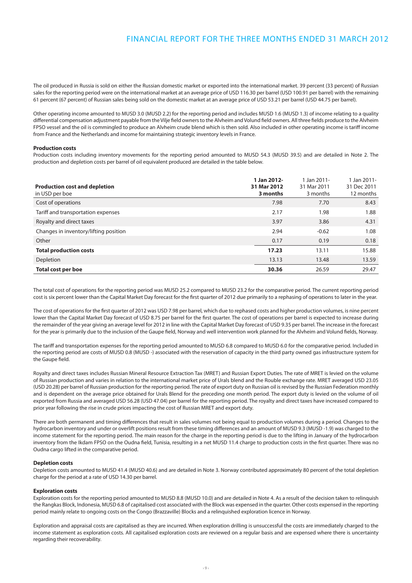### FINANCIAL REPORT FOR THE THREE MONTHS ENDED 31 MARCH 2012

The oil produced in Russia is sold on either the Russian domestic market or exported into the international market. 39 percent (33 percent) of Russian sales for the reporting period were on the international market at an average price of USD 116.30 per barrel (USD 100.91 per barrel) with the remaining 61 percent (67 percent) of Russian sales being sold on the domestic market at an average price of USD 53.21 per barrel (USD 44.75 per barrel).

Other operating income amounted to MUSD 3.0 (MUSD 2.2) for the reporting period and includes MUSD 1.6 (MUSD 1.3) of income relating to a quality differential compensation adjustment payable from the Vilje field owners to the Alvheim and Volund field owners. All three fields produce to the Alvheim FPSO vessel and the oil is commingled to produce an Alvheim crude blend which is then sold. Also included in other operating income is tariff income from France and the Netherlands and income for maintaining strategic inventory levels in France.

#### **Production costs**

Production costs including inventory movements for the reporting period amounted to MUSD 54.3 (MUSD 39.5) and are detailed in Note 2. The production and depletion costs per barrel of oil equivalent produced are detailed in the table below.

| <b>Production cost and depletion</b><br>in USD per boe | 1 Jan 2012-<br>31 Mar 2012<br>3 months | 1 Jan 2011-<br>31 Mar 2011<br>3 months | 1 Jan 2011-<br>31 Dec 2011<br>12 months |
|--------------------------------------------------------|----------------------------------------|----------------------------------------|-----------------------------------------|
| Cost of operations                                     | 7.98                                   | 7.70                                   | 8.43                                    |
| Tariff and transportation expenses                     | 2.17                                   | 1.98                                   | 1.88                                    |
| Royalty and direct taxes                               | 3.97                                   | 3.86                                   | 4.31                                    |
| Changes in inventory/lifting position                  | 2.94                                   | $-0.62$                                | 1.08                                    |
| Other                                                  | 0.17                                   | 0.19                                   | 0.18                                    |
| <b>Total production costs</b>                          | 17.23                                  | 13.11                                  | 15.88                                   |
| Depletion                                              | 13.13                                  | 13.48                                  | 13.59                                   |
| Total cost per boe                                     | 30.36                                  | 26.59                                  | 29.47                                   |

The total cost of operations for the reporting period was MUSD 25.2 compared to MUSD 23.2 for the comparative period. The current reporting period cost is six percent lower than the Capital Market Day forecast for the first quarter of 2012 due primarily to a rephasing of operations to later in the year.

The cost of operations for the first quarter of 2012 was USD 7.98 per barrel, which due to rephased costs and higher production volumes, is nine percent lower than the Capital Market Day forecast of USD 8.75 per barrel for the first quarter. The cost of operations per barrel is expected to increase during the remainder of the year giving an average level for 2012 in line with the Capital Market Day forecast of USD 9.35 per barrel. The increase in the forecast for the year is primarily due to the inclusion of the Gaupe field, Norway and well intervention work planned for the Alvheim and Volund fields, Norway.

The tariff and transportation expenses for the reporting period amounted to MUSD 6.8 compared to MUSD 6.0 for the comparative period. Included in the reporting period are costs of MUSD 0.8 (MUSD -) associated with the reservation of capacity in the third party owned gas infrastructure system for the Gaupe field.

Royalty and direct taxes includes Russian Mineral Resource Extraction Tax (MRET) and Russian Export Duties. The rate of MRET is levied on the volume of Russian production and varies in relation to the international market price of Urals blend and the Rouble exchange rate. MRET averaged USD 23.05 (USD 20.28) per barrel of Russian production for the reporting period. The rate of export duty on Russian oil isrevised by the Russian Federation monthly and is dependent on the average price obtained for Urals Blend for the preceding one month period. The export duty is levied on the volume of oil exported from Russia and averaged USD 56.28 (USD 47.04) per barrel for the reporting period. The royalty and direct taxes have increased compared to prior year following the rise in crude prices impacting the cost of Russian MRET and export duty.

There are both permanent and timing differences that result in sales volumes not being equal to production volumes during a period. Changes to the hydrocarbon inventory and under or overlift positions result from these timing differences and an amount of MUSD 9.3 (MUSD -1.9) was charged to the income statement for the reporting period. The main reason for the charge in the reporting period is due to the lifting in January of the hydrocarbon inventory from the Ikdam FPSO on the Oudna field, Tunisia, resulting in a net MUSD 11.4 charge to production costs in the first quarter. There was no Oudna cargo lifted in the comparative period.

#### **Depletion costs**

Depletion costs amounted to MUSD 41.4 (MUSD 40.6) and are detailed in Note 3. Norway contributed approximately 80 percent of the total depletion charge for the period at a rate of USD 14.30 per barrel.

#### **Exploration costs**

Exploration costs for the reporting period amounted to MUSD 8.8 (MUSD 10.0) and are detailed in Note 4. As a result of the decision taken to relinquish the Rangkas Block, Indonesia, MUSD 6.8 of capitalised cost associated with the Block was expensed in the quarter. Other costs expensed in the reporting period mainly relate to ongoing costs on the Congo (Brazzaville) Blocks and a relinquished exploration licence in Norway.

Exploration and appraisal costs are capitalised as they are incurred. When exploration drilling is unsuccessful the costs are immediately charged to the income statement as exploration costs. All capitalised exploration costs are reviewed on a regular basis and are expensed where there is uncertainty regarding their recoverability.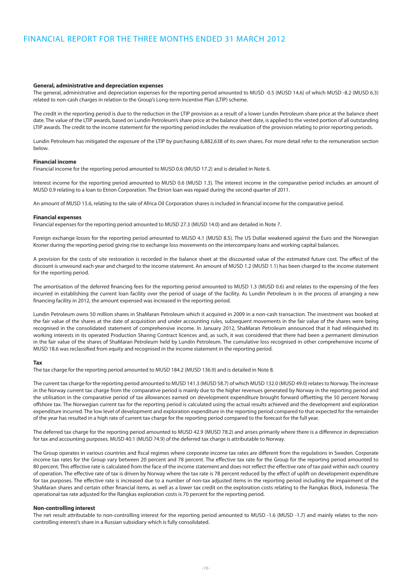#### **General, administrative and depreciation expenses**

The general, administrative and depreciation expenses for the reporting period amounted to MUSD -0.5 (MUSD 14.6) of which MUSD -8.2 (MUSD 6.3) related to non-cash charges in relation to the Group's Long-term Incentive Plan (LTIP) scheme.

The credit in the reporting period is due to the reduction in the LTIP provision as a result of a lower Lundin Petroleum share price at the balance sheet date. The value of the LTIP awards, based on Lundin Petroleum's share price at the balance sheet date, is applied to the vested portion of all outstanding LTIP awards. The credit to the income statement for the reporting period includes the revaluation of the provision relating to prior reporting periods.

Lundin Petroleum has mitigated the exposure of the LTIP by purchasing 6,882,638 of its own shares. For more detail refer to the remuneration section below.

#### **Financial income**

Financial income for the reporting period amounted to MUSD 0.6 (MUSD 17.2) and is detailed in Note 6.

Interest income for the reporting period amounted to MUSD 0.6 (MUSD 1.3). The interest income in the comparative period includes an amount of MUSD 0.9 relating to a loan to Etrion Corporation. The Etrion loan was repaid during the second quarter of 2011.

An amount of MUSD 15.6, relating to the sale of Africa Oil Corporation shares is included in financial income for the comparative period.

#### **Financial expenses**

Financial expenses for the reporting period amounted to MUSD 27.3 (MUSD 14.0) and are detailed in Note 7.

Foreign exchange losses for the reporting period amounted to MUSD 4.1 (MUSD 8.5). The US Dollar weakened against the Euro and the Norwegian Kroner during the reporting period giving rise to exchange loss movements on the intercompany loans and working capital balances.

A provision for the costs of site restoration is recorded in the balance sheet at the discounted value of the estimated future cost. The effect of the discount is unwound each year and charged to the income statement. An amount of MUSD 1.2 (MUSD 1.1) has been charged to the income statement for the reporting period.

The amortisation of the deferred financing fees for the reporting period amounted to MUSD 1.3 (MUSD 0.6) and relates to the expensing of the fees incurred in establishing the current loan facility over the period of usage of the facility. As Lundin Petroleum is in the process of arranging a new financing facility in 2012, the amount expensed was increased in the reporting period.

Lundin Petroleum owns 50 million shares in ShaMaran Petroleum which it acquired in 2009 in a non-cash transaction. The investment was booked at the fair value of the shares at the date of acquisition and under accounting rules, subsequent movements in the fair value of the shares were being recognised in the consolidated statement of comprehensive income. In January 2012, ShaMaran Petroleum announced that it had relinquished its working interests in its operated Production Sharing Contract licences and, as such, it was considered that there had been a permanent diminution in the fair value of the shares of ShaMaran Petroleum held by Lundin Petroleum. The cumulative loss recognised in other comprehensive income of MUSD 18.6 was reclassified from equity and recognised in the income statement in the reporting period.

#### **Tax**

The tax charge for the reporting period amounted to MUSD 184.2 (MUSD 136.9) and is detailed in Note 8.

The current tax charge for the reporting period amounted to MUSD 141.3 (MUSD 58.7) of which MUSD 132.0 (MUSD 49.0) relatesto Norway. The increase in the Norway current tax charge from the comparative period is mainly due to the higher revenues generated by Norway in the reporting period and the utilisation in the comparative period of tax allowances earned on development expenditure brought forward offsetting the 50 percent Norway offshore tax. The Norwegian current tax for the reporting period is calculated using the actual results achieved and the development and exploration expenditure incurred. The low level of development and exploration expenditure in the reporting period compared to that expected for the remainder of the year has resulted in a high rate of current tax charge for the reporting period compared to the forecast for the full year.

The deferred tax charge for the reporting period amounted to MUSD 42.9 (MUSD 78.2) and arises primarily where there is a difference in depreciation for tax and accounting purposes. MUSD 40.1 (MUSD 74.9) of the deferred tax charge is attributable to Norway.

The Group operates in various countries and fiscal regimes where corporate income tax rates are different from the regulations in Sweden. Corporate income tax rates for the Group vary between 20 percent and 78 percent. The effective tax rate for the Group for the reporting period amounted to 80 percent. This effective rate is calculated from the face of the income statement and does not reflect the effective rate of tax paid within each country of operation. The effective rate of tax is driven by Norway where the tax rate is 78 percent reduced by the effect of uplift on development expenditure for tax purposes. The effective rate is increased due to a number of non-tax adjusted items in the reporting period including the impairment of the ShaMaran shares and certain other financial items, as well as a lower tax credit on the exploration costs relating to the Rangkas Block, Indonesia. The operational tax rate adjusted for the Rangkas exploration costs is 70 percent for the reporting period.

#### **Non-controlling interest**

The net result attributable to non-controlling interest for the reporting period amounted to MUSD -1.6 (MUSD -1.7) and mainly relates to the noncontrolling interest's share in a Russian subsidiary which is fully consolidated.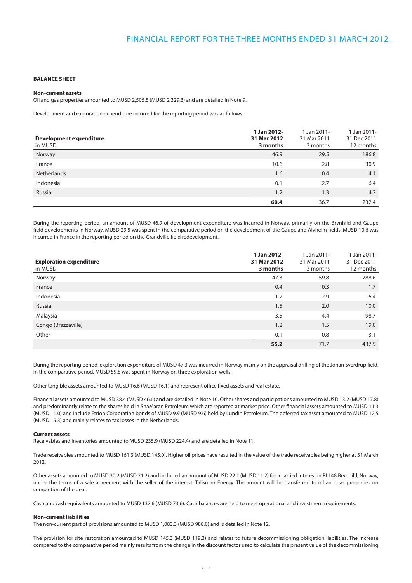### **BALANCE SHEET**

#### **Non-current assets**

Oil and gas properties amounted to MUSD 2,505.5 (MUSD 2,329.3) and are detailed in Note 9.

Development and exploration expenditure incurred for the reporting period was as follows:

|                         | 1 Jan 2012- | 1 Jan 2011- | 1 Jan 2011- |
|-------------------------|-------------|-------------|-------------|
| Development expenditure | 31 Mar 2012 | 31 Mar 2011 | 31 Dec 2011 |
| in MUSD                 | 3 months    | 3 months    | 12 months   |
| Norway                  | 46.9        | 29.5        | 186.8       |
| France                  | 10.6        | 2.8         | 30.9        |
| <b>Netherlands</b>      | 1.6         | 0.4         | 4.1         |
| Indonesia               | 0.1         | 2.7         | 6.4         |
| Russia                  | 1.2         | 1.3         | 4.2         |
|                         | 60.4        | 36.7        | 232.4       |

During the reporting period, an amount of MUSD 46.9 of development expenditure was incurred in Norway, primarily on the Brynhild and Gaupe field developments in Norway. MUSD 29.5 was spent in the comparative period on the development of the Gaupe and Alvheim fields. MUSD 10.6 was incurred in France in the reporting period on the Grandville field redevelopment.

|                                | 1 Jan 2012- | 1 Jan 2011- | 1 Jan 2011- |
|--------------------------------|-------------|-------------|-------------|
| <b>Exploration expenditure</b> | 31 Mar 2012 | 31 Mar 2011 | 31 Dec 2011 |
| in MUSD                        | 3 months    | 3 months    | 12 months   |
| Norway                         | 47.3        | 59.8        | 288.6       |
| France                         | 0.4         | 0.3         | 1.7         |
| Indonesia                      | 1.2         | 2.9         | 16.4        |
| Russia                         | 1.5         | 2.0         | 10.0        |
| Malaysia                       | 3.5         | 4.4         | 98.7        |
| Congo (Brazzaville)            | 1.2         | 1.5         | 19.0        |
| Other                          | 0.1         | 0.8         | 3.1         |
|                                | 55.2        | 71.7        | 437.5       |

During the reporting period, exploration expenditure of MUSD 47.3 was incurred in Norway mainly on the appraisal drilling of the Johan Sverdrup field. In the comparative period, MUSD 59.8 was spent in Norway on three exploration wells.

Other tangible assets amounted to MUSD 16.6 (MUSD 16.1) and represent office fixed assets and real estate.

Financial assets amounted to MUSD 38.4 (MUSD 46.6) and are detailed in Note 10. Othershares and participations amounted to MUSD 13.2 (MUSD 17.8) and predominantly relate to the shares held in ShaMaran Petroleum which are reported at market price. Other financial assets amounted to MUSD 11.3 (MUSD 11.0) and include Etrion Corporation bonds of MUSD 9.9 (MUSD 9.6) held by Lundin Petroleum. The deferred tax asset amounted to MUSD 12.5 (MUSD 15.3) and mainly relates to tax losses in the Netherlands.

#### **Current assets**

Receivables and inventories amounted to MUSD 235.9 (MUSD 224.4) and are detailed in Note 11.

Trade receivables amounted to MUSD 161.3 (MUSD 145.0). Higher oil prices have resulted in the value of the trade receivables being higher at 31 March 2012.

Other assets amounted to MUSD 30.2 (MUSD 21.2) and included an amount of MUSD 22.1 (MUSD 11.2) for a carried interest in PL148 Brynhild, Norway, under the terms of a sale agreement with the seller of the interest, Talisman Energy. The amount will be transferred to oil and gas properties on completion of the deal.

Cash and cash equivalents amounted to MUSD 137.6 (MUSD 73.6). Cash balances are held to meet operational and investment requirements.

#### **Non-current liabilities**

The non-current part of provisions amounted to MUSD 1,083.3 (MUSD 988.0) and is detailed in Note 12.

The provision for site restoration amounted to MUSD 145.3 (MUSD 119.3) and relates to future decommissioning obligation liabilities. The increase compared to the comparative period mainly results from the change in the discount factor used to calculate the present value of the decommissioning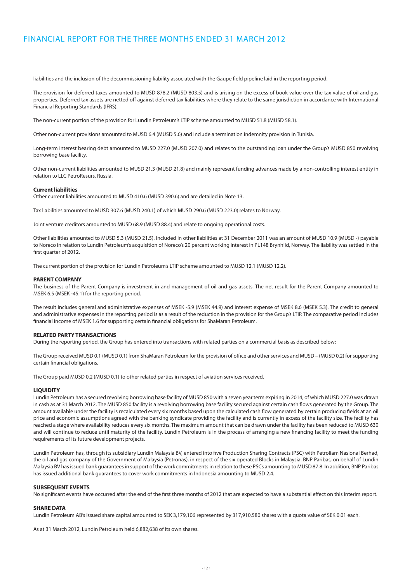### FINANCIAL REPORT FOR THE THREE MONTHS ENDED 31 MARCH 2012

liabilities and the inclusion of the decommissioning liability associated with the Gaupe field pipeline laid in the reporting period.

The provision for deferred taxes amounted to MUSD 878.2 (MUSD 803.5) and is arising on the excess of book value over the tax value of oil and gas properties. Deferred tax assets are netted off against deferred tax liabilities where they relate to the same jurisdiction in accordance with International Financial Reporting Standards (IFRS).

The non-current portion of the provision for Lundin Petroleum's LTIP scheme amounted to MUSD 51.8 (MUSD 58.1).

Other non-current provisions amounted to MUSD 6.4 (MUSD 5.6) and include a termination indemnity provision in Tunisia.

Long-term interest bearing debt amounted to MUSD 227.0 (MUSD 207.0) and relates to the outstanding loan under the Group's MUSD 850 revolving borrowing base facility.

Other non-current liabilities amounted to MUSD 21.3 (MUSD 21.8) and mainly represent funding advances made by a non-controlling interest entity in relation to LLC PetroResurs, Russia.

#### **Current liabilities**

Other current liabilities amounted to MUSD 410.6 (MUSD 390.6) and are detailed in Note 13.

Tax liabilities amounted to MUSD 307.6 (MUSD 240.1) of which MUSD 290.6 (MUSD 223.0) relates to Norway.

Joint venture creditors amounted to MUSD 68.9 (MUSD 88.4) and relate to ongoing operational costs.

Other liabilities amounted to MUSD 5.3 (MUSD 21.5). Included in other liabilities at 31 December 2011 was an amount of MUSD 10.9 (MUSD -) payable to Noreco in relation to Lundin Petroleum's acquisition of Noreco's 20 percent working interest in PL148 Brynhild, Norway. The liability wassettled in the first quarter of 2012.

The current portion of the provision for Lundin Petroleum's LTIP scheme amounted to MUSD 12.1 (MUSD 12.2).

#### **PARENT COMPANY**

The business of the Parent Company is investment in and management of oil and gas assets. The net result for the Parent Company amounted to MSEK 6.5 (MSEK -45.1) for the reporting period.

The result includes general and administrative expenses of MSEK -5.9 (MSEK 44.9) and interest expense of MSEK 8.6 (MSEK 5.3). The credit to general and administrative expenses in the reporting period is as a result of the reduction in the provision for the Group's LTIP. The comparative period includes financial income of MSEK 1.6 for supporting certain financial obligations for ShaMaran Petroleum.

#### **RELATED PARTY TRANSACTIONS**

During the reporting period, the Group has entered into transactions with related parties on a commercial basis as described below:

The Group received MUSD 0.1 (MUSD 0.1) from ShaMaran Petroleum for the provision of office and otherservices and MUSD – (MUSD 0.2) forsupporting certain financial obligations.

The Group paid MUSD 0.2 (MUSD 0.1) to other related parties in respect of aviation services received.

#### **LIQUIDITY**

Lundin Petroleum has a secured revolving borrowing base facility of MUSD 850 with a seven year term expiring in 2014, of which MUSD 227.0 was drawn in cash as at 31 March 2012. The MUSD 850 facility is a revolving borrowing base facility secured against certain cash flows generated by the Group. The amount available under the facility is recalculated every six months based upon the calculated cash flow generated by certain producing fields at an oil price and economic assumptions agreed with the banking syndicate providing the facility and is currently in excess of the facility size. The facility has reached a stage where availability reduces every six months. The maximum amount that can be drawn under the facility has been reduced to MUSD 630 and will continue to reduce until maturity of the facility. Lundin Petroleum is in the process of arranging a new financing facility to meet the funding requirements of its future development projects.

Lundin Petroleum has, through its subsidiary Lundin Malaysia BV, entered into five Production Sharing Contracts (PSC) with Petroliam Nasional Berhad, the oil and gas company of the Government of Malaysia (Petronas), in respect of the six operated Blocks in Malaysia. BNP Paribas, on behalf of Lundin Malaysia BV hasissued bank guaranteesin support of the work commitmentsin relation to these PSCs amounting to MUSD 87.8. In addition, BNP Paribas has issued additional bank guarantees to cover work commitments in Indonesia amounting to MUSD 2.4.

#### **SUBSEQUENT EVENTS**

No significant events have occurred after the end of the first three months of 2012 that are expected to have a substantial effect on this interim report.

#### **SHARE DATA**

Lundin Petroleum AB's issued share capital amounted to SEK 3,179,106 represented by 317,910,580 shares with a quota value of SEK 0.01 each.

As at 31 March 2012, Lundin Petroleum held 6,882,638 of its own shares.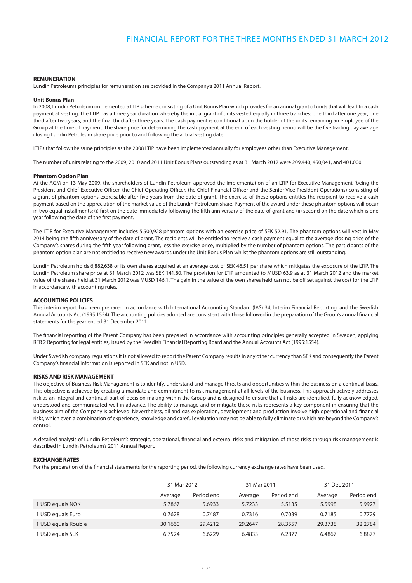#### **REMUNERATION**

Lundin Petroleums principles for remuneration are provided in the Company's 2011 Annual Report.

#### **Unit Bonus Plan**

In 2008, Lundin Petroleum implemented a LTIP scheme consisting of a Unit Bonus Plan which provides for an annual grant of units that will lead to a cash payment at vesting. The LTIP has a three year duration whereby the initial grant of units vested equally in three tranches: one third after one year; one third after two years; and the final third after three years. The cash payment is conditional upon the holder of the units remaining an employee of the Group at the time of payment. The share price for determining the cash payment at the end of each vesting period will be the five trading day average closing Lundin Petroleum share price prior to and following the actual vesting date.

LTIPs that follow the same principles as the 2008 LTIP have been implemented annually for employees other than Executive Management.

The number of units relating to the 2009, 2010 and 2011 Unit Bonus Plans outstanding as at 31 March 2012 were 209,440, 450,041, and 401,000.

#### **Phantom Option Plan**

At the AGM on 13 May 2009, the shareholders of Lundin Petroleum approved the implementation of an LTIP for Executive Management (being the President and Chief Executive Officer, the Chief Operating Officer, the Chief Financial Officer and the Senior Vice President Operations) consisting of a grant of phantom options exercisable after five years from the date of grant. The exercise of these options entitles the recipient to receive a cash payment based on the appreciation of the market value of the Lundin Petroleum share. Payment of the award under these phantom options will occur in two equal installments: (i) first on the date immediately following the fifth anniversary of the date of grant and (ii) second on the date which is one year following the date of the first payment.

The LTIP for Executive Management includes 5,500,928 phantom options with an exercise price of SEK 52.91. The phantom options will vest in May 2014 being the fifth anniversary of the date of grant. The recipients will be entitled to receive a cash payment equal to the average closing price of the Company's shares during the fifth year following grant, less the exercise price, multiplied by the number of phantom options. The participants of the phantom option plan are not entitled to receive new awards under the Unit Bonus Plan whilst the phantom options are still outstanding.

Lundin Petroleum holds 6,882,638 of its own shares acquired at an average cost of SEK 46.51 per share which mitigates the exposure of the LTIP. The Lundin Petroleum share price at 31 March 2012 was SEK 141.80. The provision for LTIP amounted to MUSD 63.9 as at 31 March 2012 and the market value of the shares held at 31 March 2012 was MUSD 146.1. The gain in the value of the own shares held can not be off set against the cost for the LTIP in accordance with accounting rules.

#### **ACCOUNTING POLICIES**

This interim report has been prepared in accordance with International Accounting Standard (IAS) 34, Interim Financial Reporting, and the Swedish Annual Accounts Act (1995:1554). The accounting policies adopted are consistent with those followed in the preparation of the Group's annual financial statements for the year ended 31 December 2011.

The financial reporting of the Parent Company has been prepared in accordance with accounting principles generally accepted in Sweden, applying RFR 2 Reporting for legal entities, issued by the Swedish Financial Reporting Board and the Annual Accounts Act (1995:1554).

Under Swedish company regulationsit is not allowed to report the Parent Company resultsin any other currency than SEK and consequently the Parent Company's financial information is reported in SEK and not in USD.

#### **RISKS AND RISK MANAGEMENT**

The objective of Business Risk Management is to identify, understand and manage threats and opportunities within the business on a continual basis. This objective is achieved by creating a mandate and commitment to risk management at all levels of the business. This approach actively addresses risk as an integral and continual part of decision making within the Group and is designed to ensure that all risks are identified, fully acknowledged, understood and communicated well in advance. The ability to manage and or mitigate these risks represents a key component in ensuring that the business aim of the Company is achieved. Nevertheless, oil and gas exploration, development and production involve high operational and financial risks, which even a combination of experience, knowledge and careful evaluation may not be able to fully eliminate or which are beyond the Company's control.

A detailed analysis of Lundin Petroleum's strategic, operational, financial and external risks and mitigation of those risks through risk management is described in Lundin Petroleum's 2011 Annual Report.

#### **EXCHANGE RATES**

For the preparation of the financial statements for the reporting period, the following currency exchange rates have been used.

|                     |         | 31 Mar 2012 |         | 31 Mar 2011 |         | 31 Dec 2011 |  |
|---------------------|---------|-------------|---------|-------------|---------|-------------|--|
|                     | Average | Period end  | Average | Period end  | Average | Period end  |  |
| 1 USD equals NOK    | 5.7867  | 5.6933      | 5.7233  | 5.5135      | 5.5998  | 5.9927      |  |
| 1 USD equals Euro   | 0.7628  | 0.7487      | 0.7316  | 0.7039      | 0.7185  | 0.7729      |  |
| 1 USD equals Rouble | 30.1660 | 29.4212     | 29.2647 | 28.3557     | 29.3738 | 32.2784     |  |
| 1 USD equals SEK    | 6.7524  | 6.6229      | 6.4833  | 6.2877      | 6.4867  | 6.8877      |  |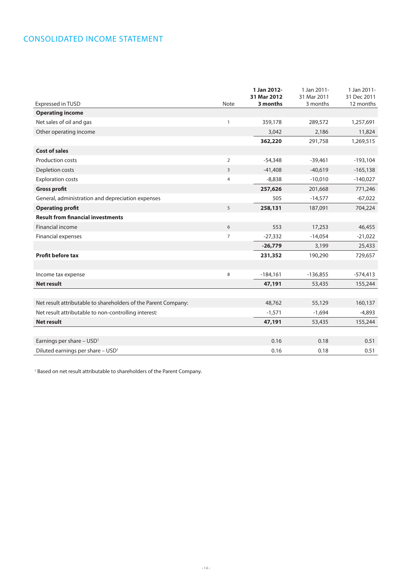### CONSOLIDATED INCOME STATEMENT

|                                                                |                | 1 Jan 2012-<br>31 Mar 2012 | 1 Jan 2011-<br>31 Mar 2011 | 1 Jan 2011-<br>31 Dec 2011 |
|----------------------------------------------------------------|----------------|----------------------------|----------------------------|----------------------------|
| Expressed in TUSD                                              | Note           | 3 months                   | 3 months                   | 12 months                  |
| <b>Operating income</b>                                        |                |                            |                            |                            |
| Net sales of oil and gas                                       | $\mathbf{1}$   | 359,178                    | 289,572                    | 1,257,691                  |
| Other operating income                                         |                | 3,042                      | 2,186                      | 11,824                     |
|                                                                |                | 362,220                    | 291,758                    | 1,269,515                  |
| <b>Cost of sales</b>                                           |                |                            |                            |                            |
| <b>Production costs</b>                                        | $\overline{2}$ | $-54,348$                  | $-39,461$                  | $-193,104$                 |
| Depletion costs                                                | 3              | $-41,408$                  | $-40,619$                  | $-165,138$                 |
| <b>Exploration costs</b>                                       | 4              | $-8,838$                   | $-10,010$                  | $-140,027$                 |
| <b>Gross profit</b>                                            |                | 257,626                    | 201,668                    | 771,246                    |
| General, administration and depreciation expenses              |                | 505                        | $-14,577$                  | $-67,022$                  |
| <b>Operating profit</b>                                        | 5              | 258,131                    | 187,091                    | 704,224                    |
| <b>Result from financial investments</b>                       |                |                            |                            |                            |
| Financial income                                               | 6              | 553                        | 17,253                     | 46,455                     |
| Financial expenses                                             | $\overline{7}$ | $-27,332$                  | $-14,054$                  | $-21,022$                  |
|                                                                |                | $-26,779$                  | 3,199                      | 25,433                     |
| <b>Profit before tax</b>                                       |                | 231,352                    | 190,290                    | 729,657                    |
|                                                                |                |                            |                            |                            |
| Income tax expense                                             | 8              | $-184,161$                 | $-136,855$                 | $-574,413$                 |
| <b>Net result</b>                                              |                | 47,191                     | 53,435                     | 155,244                    |
|                                                                |                |                            |                            |                            |
| Net result attributable to shareholders of the Parent Company: |                | 48,762                     | 55,129                     | 160,137                    |
| Net result attributable to non-controlling interest:           |                | $-1,571$                   | $-1,694$                   | $-4,893$                   |
| <b>Net result</b>                                              |                | 47,191                     | 53,435                     | 155,244                    |
|                                                                |                |                            |                            |                            |
| Earnings per share $-$ USD <sup>1</sup>                        |                | 0.16                       | 0.18                       | 0.51                       |
| Diluted earnings per share - USD <sup>1</sup>                  |                | 0.16                       | 0.18                       | 0.51                       |

<sup>1</sup> Based on net result attributable to shareholders of the Parent Company.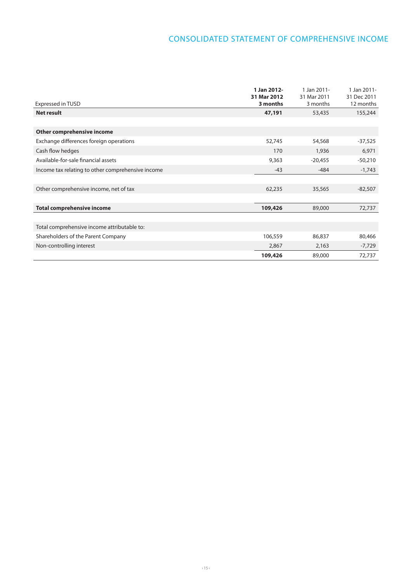## CONSOLIDATED STATEMENT OF COMPREHENSIVE INCOME

|                                                   | 1 Jan 2012- | 1 Jan 2011- | 1 Jan 2011- |
|---------------------------------------------------|-------------|-------------|-------------|
|                                                   | 31 Mar 2012 | 31 Mar 2011 | 31 Dec 2011 |
| Expressed in TUSD                                 | 3 months    | 3 months    | 12 months   |
| Net result                                        | 47,191      | 53,435      | 155,244     |
|                                                   |             |             |             |
| Other comprehensive income                        |             |             |             |
| Exchange differences foreign operations           | 52,745      | 54,568      | $-37,525$   |
| Cash flow hedges                                  | 170         | 1,936       | 6,971       |
| Available-for-sale financial assets               | 9,363       | $-20,455$   | $-50,210$   |
| Income tax relating to other comprehensive income | $-43$       | $-484$      | $-1,743$    |
|                                                   |             |             |             |
| Other comprehensive income, net of tax            | 62,235      | 35,565      | $-82,507$   |
|                                                   |             |             |             |
| <b>Total comprehensive income</b>                 | 109,426     | 89,000      | 72,737      |
|                                                   |             |             |             |
| Total comprehensive income attributable to:       |             |             |             |
| Shareholders of the Parent Company                | 106,559     | 86,837      | 80,466      |
| Non-controlling interest                          | 2,867       | 2,163       | $-7,729$    |
|                                                   | 109,426     | 89,000      | 72,737      |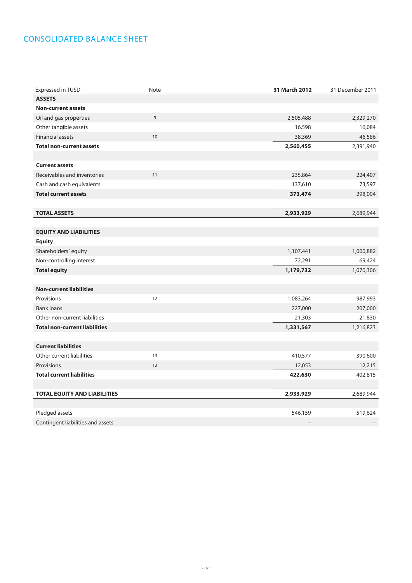### CONSOLIDATED BALANCE SHEET

| <b>Expressed in TUSD</b>             | Note | 31 March 2012 | 31 December 2011         |
|--------------------------------------|------|---------------|--------------------------|
| <b>ASSETS</b>                        |      |               |                          |
| <b>Non-current assets</b>            |      |               |                          |
| Oil and gas properties               | 9    | 2,505,488     | 2,329,270                |
| Other tangible assets                |      | 16,598        | 16,084                   |
| <b>Financial assets</b>              | 10   | 38,369        | 46,586                   |
| <b>Total non-current assets</b>      |      | 2,560,455     | 2,391,940                |
|                                      |      |               |                          |
| <b>Current assets</b>                |      |               |                          |
| Receivables and inventories          | 11   | 235,864       | 224,407                  |
| Cash and cash equivalents            |      | 137,610       | 73,597                   |
| <b>Total current assets</b>          |      | 373,474       | 298,004                  |
|                                      |      |               |                          |
| <b>TOTAL ASSETS</b>                  |      | 2,933,929     | 2,689,944                |
|                                      |      |               |                          |
| <b>EQUITY AND LIABILITIES</b>        |      |               |                          |
| <b>Equity</b>                        |      |               |                          |
| Shareholders' equity                 |      | 1,107,441     | 1,000,882                |
| Non-controlling interest             |      | 72,291        | 69,424                   |
| <b>Total equity</b>                  |      | 1,179,732     | 1,070,306                |
|                                      |      |               |                          |
| <b>Non-current liabilities</b>       |      |               |                          |
| Provisions                           | 12   | 1,083,264     | 987,993                  |
| <b>Bank loans</b>                    |      | 227,000       | 207,000                  |
| Other non-current liabilities        |      | 21,303        | 21,830                   |
| <b>Total non-current liabilities</b> |      | 1,331,567     | 1,216,823                |
|                                      |      |               |                          |
| <b>Current liabilities</b>           |      |               |                          |
| Other current liabilities            | 13   | 410,577       | 390,600                  |
| Provisions                           | 12   | 12,053        | 12,215                   |
| <b>Total current liabilities</b>     |      | 422,630       | 402,815                  |
|                                      |      |               |                          |
| <b>TOTAL EQUITY AND LIABILITIES</b>  |      | 2,933,929     | 2,689,944                |
|                                      |      |               |                          |
| Pledged assets                       |      | 546,159       | 519,624                  |
| Contingent liabilities and assets    |      |               | $\overline{\phantom{0}}$ |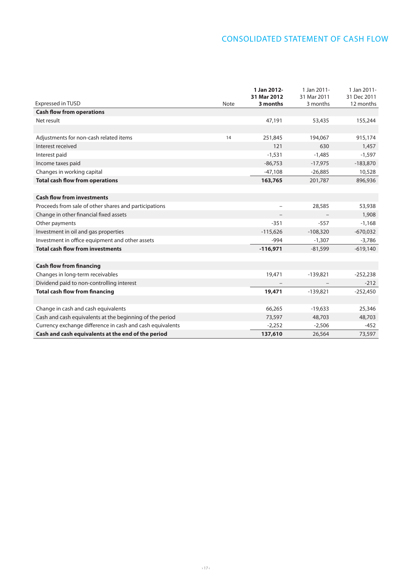## CONSOLIDATED STATEMENT OF CASH FLOW

|                                                           |      | 1 Jan 2012- | 1 Jan 2011- | 1 Jan 2011- |
|-----------------------------------------------------------|------|-------------|-------------|-------------|
|                                                           |      | 31 Mar 2012 | 31 Mar 2011 | 31 Dec 2011 |
| Expressed in TUSD                                         | Note | 3 months    | 3 months    | 12 months   |
| <b>Cash flow from operations</b>                          |      |             |             |             |
| Net result                                                |      | 47,191      | 53,435      | 155,244     |
|                                                           |      |             |             |             |
| Adjustments for non-cash related items                    | 14   | 251,845     | 194,067     | 915,174     |
| Interest received                                         |      | 121         | 630         | 1,457       |
| Interest paid                                             |      | $-1,531$    | $-1,485$    | $-1,597$    |
| Income taxes paid                                         |      | $-86,753$   | $-17,975$   | $-183,870$  |
| Changes in working capital                                |      | $-47,108$   | $-26,885$   | 10,528      |
| <b>Total cash flow from operations</b>                    |      | 163,765     | 201,787     | 896,936     |
|                                                           |      |             |             |             |
| <b>Cash flow from investments</b>                         |      |             |             |             |
| Proceeds from sale of other shares and participations     |      |             | 28,585      | 53,938      |
| Change in other financial fixed assets                    |      |             |             | 1,908       |
| Other payments                                            |      | $-351$      | $-557$      | $-1,168$    |
| Investment in oil and gas properties                      |      | $-115,626$  | $-108,320$  | $-670,032$  |
| Investment in office equipment and other assets           |      | $-994$      | $-1,307$    | $-3,786$    |
| <b>Total cash flow from investments</b>                   |      | $-116,971$  | $-81,599$   | $-619,140$  |
|                                                           |      |             |             |             |
| <b>Cash flow from financing</b>                           |      |             |             |             |
| Changes in long-term receivables                          |      | 19,471      | $-139,821$  | $-252,238$  |
| Dividend paid to non-controlling interest                 |      |             |             | $-212$      |
| <b>Total cash flow from financing</b>                     |      | 19,471      | $-139,821$  | $-252,450$  |
|                                                           |      |             |             |             |
| Change in cash and cash equivalents                       |      | 66,265      | $-19,633$   | 25,346      |
| Cash and cash equivalents at the beginning of the period  |      | 73,597      | 48,703      | 48,703      |
| Currency exchange difference in cash and cash equivalents |      | $-2,252$    | $-2,506$    | -452        |
| Cash and cash equivalents at the end of the period        |      | 137,610     | 26,564      | 73,597      |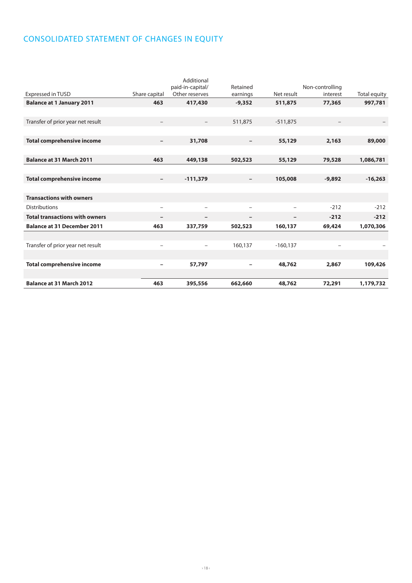## CONSOLIDATED STATEMENT OF CHANGES IN EQUITY

|                                       |                          | Additional                         |                          |                          |                             |              |
|---------------------------------------|--------------------------|------------------------------------|--------------------------|--------------------------|-----------------------------|--------------|
|                                       |                          | paid-in-capital/<br>Other reserves | Retained                 | Net result               | Non-controlling<br>interest |              |
| Expressed in TUSD                     | Share capital<br>463     |                                    | earnings                 |                          |                             | Total equity |
| <b>Balance at 1 January 2011</b>      |                          | 417,430                            | $-9,352$                 | 511,875                  | 77,365                      | 997,781      |
|                                       |                          |                                    |                          |                          |                             |              |
| Transfer of prior year net result     | $\overline{\phantom{m}}$ | $\overline{\phantom{m}}$           | 511,875                  | $-511,875$               |                             |              |
|                                       |                          |                                    |                          |                          |                             |              |
| <b>Total comprehensive income</b>     | -                        | 31,708                             | $\overline{\phantom{a}}$ | 55,129                   | 2,163                       | 89,000       |
|                                       |                          |                                    |                          |                          |                             |              |
| <b>Balance at 31 March 2011</b>       | 463                      | 449,138                            | 502,523                  | 55,129                   | 79,528                      | 1,086,781    |
|                                       |                          |                                    |                          |                          |                             |              |
| <b>Total comprehensive income</b>     | $\qquad \qquad -$        | $-111,379$                         | $\overline{\phantom{a}}$ | 105,008                  | $-9,892$                    | $-16,263$    |
|                                       |                          |                                    |                          |                          |                             |              |
| <b>Transactions with owners</b>       |                          |                                    |                          |                          |                             |              |
| <b>Distributions</b>                  | $\overline{\phantom{m}}$ | $\overline{\phantom{0}}$           | $\overline{\phantom{m}}$ | $\overline{\phantom{0}}$ | $-212$                      | $-212$       |
| <b>Total transactions with owners</b> | -                        |                                    | -                        |                          | $-212$                      | $-212$       |
| <b>Balance at 31 December 2011</b>    | 463                      | 337,759                            | 502,523                  | 160,137                  | 69,424                      | 1,070,306    |
|                                       |                          |                                    |                          |                          |                             |              |
| Transfer of prior year net result     | $\overline{\phantom{0}}$ | $\qquad \qquad -$                  | 160,137                  | $-160, 137$              | $\overline{\phantom{0}}$    |              |
|                                       |                          |                                    |                          |                          |                             |              |
| <b>Total comprehensive income</b>     | $\overline{\phantom{a}}$ | 57,797                             | $\overline{\phantom{a}}$ | 48,762                   | 2,867                       | 109,426      |
|                                       |                          |                                    |                          |                          |                             |              |
| <b>Balance at 31 March 2012</b>       | 463                      | 395,556                            | 662,660                  | 48,762                   | 72,291                      | 1,179,732    |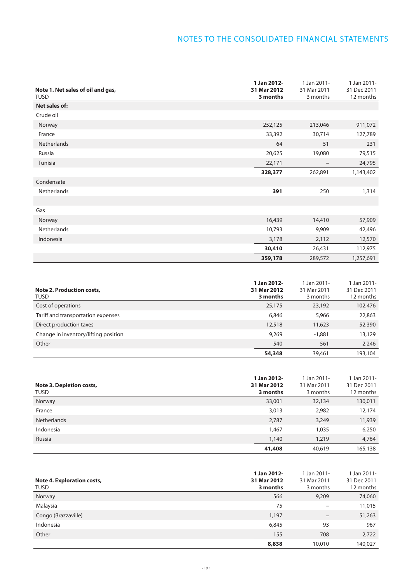|                                   | 1 Jan 2012- | 1 Jan 2011- | 1 Jan 2011- |
|-----------------------------------|-------------|-------------|-------------|
| Note 1. Net sales of oil and gas, | 31 Mar 2012 | 31 Mar 2011 | 31 Dec 2011 |
| <b>TUSD</b>                       | 3 months    | 3 months    | 12 months   |
| Net sales of:                     |             |             |             |
| Crude oil                         |             |             |             |
| Norway                            | 252,125     | 213,046     | 911,072     |
| France                            | 33,392      | 30,714      | 127,789     |
| Netherlands                       | 64          | 51          | 231         |
| Russia                            | 20,625      | 19,080      | 79,515      |
| Tunisia                           | 22,171      |             | 24,795      |
|                                   | 328,377     | 262,891     | 1,143,402   |
| Condensate                        |             |             |             |
| Netherlands                       | 391         | 250         | 1,314       |
|                                   |             |             |             |
| Gas                               |             |             |             |
| Norway                            | 16,439      | 14,410      | 57,909      |
| Netherlands                       | 10,793      | 9,909       | 42,496      |
| Indonesia                         | 3,178       | 2,112       | 12,570      |
|                                   | 30,410      | 26,431      | 112,975     |
|                                   | 359,178     | 289,572     | 1,257,691   |

|                                      | 1 Jan 2012- | 1 Jan 2011- | 1 Jan 2011- |
|--------------------------------------|-------------|-------------|-------------|
| <b>Note 2. Production costs,</b>     | 31 Mar 2012 | 31 Mar 2011 | 31 Dec 2011 |
| <b>TUSD</b>                          | 3 months    | 3 months    | 12 months   |
| Cost of operations                   | 25,175      | 23,192      | 102,476     |
| Tariff and transportation expenses   | 6,846       | 5,966       | 22,863      |
| Direct production taxes              | 12,518      | 11,623      | 52,390      |
| Change in inventory/lifting position | 9,269       | $-1,881$    | 13,129      |
| Other                                | 540         | 561         | 2,246       |
|                                      | 54,348      | 39,461      | 193,104     |

|                          | 1 Jan 2012- | 1 Jan 2011- | 1 Jan 2011- |
|--------------------------|-------------|-------------|-------------|
| Note 3. Depletion costs, | 31 Mar 2012 | 31 Mar 2011 | 31 Dec 2011 |
| TUSD                     | 3 months    | 3 months    | 12 months   |
| Norway                   | 33,001      | 32,134      | 130,011     |
| France                   | 3,013       | 2,982       | 12,174      |
| <b>Netherlands</b>       | 2,787       | 3,249       | 11,939      |
| Indonesia                | 1,467       | 1,035       | 6,250       |
| Russia                   | 1,140       | 1,219       | 4,764       |
|                          | 41,408      | 40,619      | 165,138     |

| Note 4. Exploration costs,<br>TUSD | 1 Jan 2012-<br>31 Mar 2012<br>3 months | 1 Jan 2011-<br>31 Mar 2011<br>3 months | 1 Jan 2011-<br>31 Dec 2011<br>12 months |
|------------------------------------|----------------------------------------|----------------------------------------|-----------------------------------------|
| Norway                             | 566                                    | 9,209                                  | 74,060                                  |
| Malaysia                           | 75                                     | $\qquad \qquad$                        | 11,015                                  |
| Congo (Brazzaville)                | 1,197                                  |                                        | 51,263                                  |
| Indonesia                          | 6,845                                  | 93                                     | 967                                     |
| Other                              | 155                                    | 708                                    | 2,722                                   |
|                                    | 8,838                                  | 10,010                                 | 140,027                                 |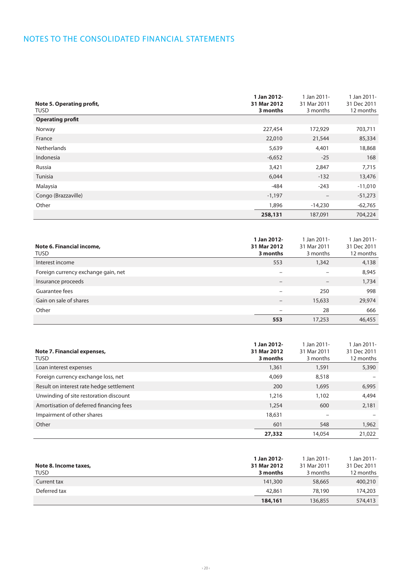| Note 5. Operating profit,<br><b>TUSD</b> | 1 Jan 2012-<br>31 Mar 2012<br>3 months | 1 Jan 2011-<br>31 Mar 2011<br>3 months | 1 Jan 2011-<br>31 Dec 2011<br>12 months |
|------------------------------------------|----------------------------------------|----------------------------------------|-----------------------------------------|
| <b>Operating profit</b>                  |                                        |                                        |                                         |
| Norway                                   | 227,454                                | 172,929                                | 703,711                                 |
| France                                   | 22,010                                 | 21,544                                 | 85,334                                  |
| <b>Netherlands</b>                       | 5,639                                  | 4,401                                  | 18,868                                  |
| Indonesia                                | $-6,652$                               | $-25$                                  | 168                                     |
| Russia                                   | 3,421                                  | 2,847                                  | 7,715                                   |
| Tunisia                                  | 6,044                                  | $-132$                                 | 13,476                                  |
| Malaysia                                 | $-484$                                 | $-243$                                 | $-11,010$                               |
| Congo (Brazzaville)                      | $-1,197$                               | $\qquad \qquad -$                      | $-51,273$                               |
| Other                                    | 1,896                                  | $-14,230$                              | $-62,765$                               |
|                                          | 258,131                                | 187,091                                | 704,224                                 |

| Note 6. Financial income,<br>TUSD   | 1 Jan 2012-<br>31 Mar 2012<br>3 months | 1 Jan 2011-<br>31 Mar 2011<br>3 months | 1 Jan 2011-<br>31 Dec 2011<br>12 months |
|-------------------------------------|----------------------------------------|----------------------------------------|-----------------------------------------|
| Interest income                     | 553                                    | 1,342                                  | 4,138                                   |
| Foreign currency exchange gain, net | -                                      |                                        | 8,945                                   |
| Insurance proceeds                  | $\overline{\phantom{0}}$               |                                        | 1,734                                   |
| Guarantee fees                      |                                        | 250                                    | 998                                     |
| Gain on sale of shares              | $\qquad \qquad -$                      | 15,633                                 | 29,974                                  |
| Other                               |                                        | 28                                     | 666                                     |
|                                     | 553                                    | 17,253                                 | 46,455                                  |

|                                          | 1 Jan 2012- | 1 Jan 2011- | 1 Jan 2011- |
|------------------------------------------|-------------|-------------|-------------|
| Note 7. Financial expenses,              | 31 Mar 2012 | 31 Mar 2011 | 31 Dec 2011 |
| <b>TUSD</b>                              | 3 months    | 3 months    | 12 months   |
| Loan interest expenses                   | 1,361       | 1,591       | 5,390       |
| Foreign currency exchange loss, net      | 4,069       | 8,518       |             |
| Result on interest rate hedge settlement | 200         | 1,695       | 6,995       |
| Unwinding of site restoration discount   | 1,216       | 1,102       | 4,494       |
| Amortisation of deferred financing fees  | 1,254       | 600         | 2,181       |
| Impairment of other shares               | 18,631      |             |             |
| Other                                    | 601         | 548         | 1,962       |
|                                          | 27,332      | 14,054      | 21,022      |

| Note 8. Income taxes,<br><b>TUSD</b> | 1 Jan 2012-<br>31 Mar 2012<br>3 months | 1 Jan 2011-<br>31 Mar 2011<br>3 months | 1 Jan 2011-<br>31 Dec 2011<br>12 months |
|--------------------------------------|----------------------------------------|----------------------------------------|-----------------------------------------|
| Current tax                          | 141,300                                | 58,665                                 | 400,210                                 |
| Deferred tax                         | 42,861                                 | 78,190                                 | 174,203                                 |
|                                      | 184,161                                | 136.855                                | 574,413                                 |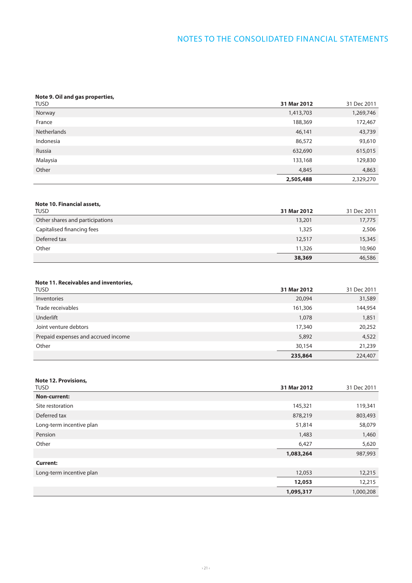### **Note 9. Oil and gas properties,**

| <b>TUSD</b> | 31 Mar 2012 | 31 Dec 2011 |
|-------------|-------------|-------------|
| Norway      | 1,413,703   | 1,269,746   |
| France      | 188,369     | 172,467     |
| Netherlands | 46,141      | 43,739      |
| Indonesia   | 86,572      | 93,610      |
| Russia      | 632,690     | 615,015     |
| Malaysia    | 133,168     | 129,830     |
| Other       | 4,845       | 4,863       |
|             | 2,505,488   | 2,329,270   |

#### **Note 10. Financial assets,**

| <b>TUSD</b>                     | 31 Mar 2012 | 31 Dec 2011 |
|---------------------------------|-------------|-------------|
| Other shares and participations | 13,201      | 17,775      |
| Capitalised financing fees      | 1,325       | 2,506       |
| Deferred tax                    | 12,517      | 15,345      |
| Other                           | 11,326      | 10,960      |
|                                 | 38,369      | 46,586      |

### **Note 11. Receivables and inventories,**

| <b>TUSD</b>                         | 31 Mar 2012 | 31 Dec 2011 |
|-------------------------------------|-------------|-------------|
| <i><u><b>Inventories</b></u></i>    | 20,094      | 31,589      |
| Trade receivables                   | 161,306     | 144,954     |
| Underlift                           | 1,078       | 1,851       |
| Joint venture debtors               | 17,340      | 20,252      |
| Prepaid expenses and accrued income | 5,892       | 4,522       |
| Other                               | 30,154      | 21,239      |
|                                     | 235,864     | 224,407     |

|  | <b>Note 12. Provisions,</b> |
|--|-----------------------------|
|--|-----------------------------|

| <b>TUSD</b>              | 31 Mar 2012 | 31 Dec 2011 |
|--------------------------|-------------|-------------|
| Non-current:             |             |             |
| Site restoration         | 145,321     | 119,341     |
| Deferred tax             | 878,219     | 803,493     |
| Long-term incentive plan | 51,814      | 58,079      |
| Pension                  | 1,483       | 1,460       |
| Other                    | 6,427       | 5,620       |
|                          | 1,083,264   | 987,993     |
| <b>Current:</b>          |             |             |
| Long-term incentive plan | 12,053      | 12,215      |
|                          | 12,053      | 12,215      |
|                          | 1,095,317   | 1,000,208   |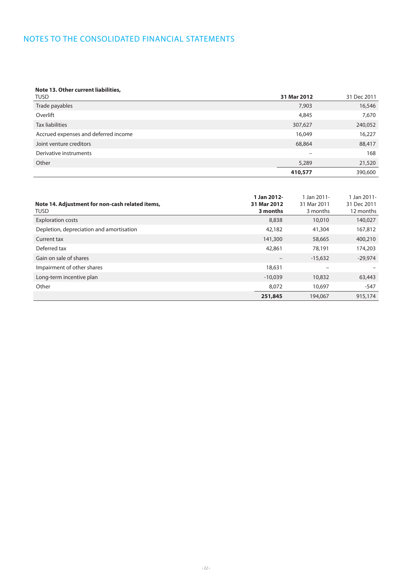### **Note 13. Other current liabilities,**

| TUSD                                 | 31 Mar 2012 | 31 Dec 2011 |
|--------------------------------------|-------------|-------------|
| Trade payables                       | 7,903       | 16,546      |
| Overlift                             | 4,845       | 7,670       |
| <b>Tax liabilities</b>               | 307,627     | 240,052     |
| Accrued expenses and deferred income | 16,049      | 16,227      |
| Joint venture creditors              | 68,864      | 88,417      |
| Derivative instruments               | -           | 168         |
| Other                                | 5,289       | 21,520      |
|                                      | 410,577     | 390,600     |

| Note 14. Adjustment for non-cash related items,<br><b>TUSD</b> | 1 Jan 2012-<br>31 Mar 2012<br>3 months | 1 Jan 2011-<br>31 Mar 2011<br>3 months | 1 Jan 2011-<br>31 Dec 2011<br>12 months |
|----------------------------------------------------------------|----------------------------------------|----------------------------------------|-----------------------------------------|
| <b>Exploration costs</b>                                       | 8,838                                  | 10,010                                 | 140,027                                 |
| Depletion, depreciation and amortisation                       | 42,182                                 | 41,304                                 | 167,812                                 |
| Current tax                                                    | 141,300                                | 58,665                                 | 400,210                                 |
| Deferred tax                                                   | 42,861                                 | 78,191                                 | 174,203                                 |
| Gain on sale of shares                                         | $\qquad \qquad \qquad$                 | $-15,632$                              | $-29,974$                               |
| Impairment of other shares                                     | 18,631                                 |                                        |                                         |
| Long-term incentive plan                                       | $-10,039$                              | 10,832                                 | 63,443                                  |
| Other                                                          | 8,072                                  | 10,697                                 | $-547$                                  |
|                                                                | 251,845                                | 194,067                                | 915,174                                 |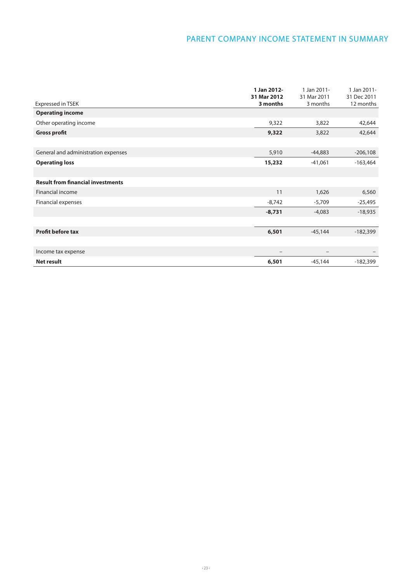## PARENT COMPANY INCOME STATEMENT IN SUMMARY

|                                          | 1 Jan 2012- | 1 Jan 2011- | 1 Jan 2011- |
|------------------------------------------|-------------|-------------|-------------|
|                                          | 31 Mar 2012 | 31 Mar 2011 | 31 Dec 2011 |
| Expressed in TSEK                        | 3 months    | 3 months    | 12 months   |
| <b>Operating income</b>                  |             |             |             |
| Other operating income                   | 9,322       | 3,822       | 42,644      |
| <b>Gross profit</b>                      | 9,322       | 3,822       | 42,644      |
|                                          |             |             |             |
| General and administration expenses      | 5,910       | $-44,883$   | $-206,108$  |
| <b>Operating loss</b>                    | 15,232      | $-41,061$   | $-163,464$  |
|                                          |             |             |             |
| <b>Result from financial investments</b> |             |             |             |
| Financial income                         | 11          | 1,626       | 6,560       |
| Financial expenses                       | $-8,742$    | $-5,709$    | $-25,495$   |
|                                          | $-8,731$    | $-4,083$    | $-18,935$   |
|                                          |             |             |             |
| <b>Profit before tax</b>                 | 6,501       | $-45,144$   | $-182,399$  |
|                                          |             |             |             |
| Income tax expense                       |             |             |             |
| Net result                               | 6,501       | $-45,144$   | $-182,399$  |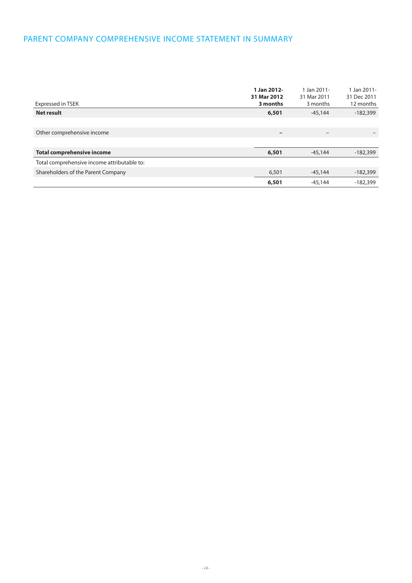## PARENT COMPANY COMPREHENSIVE INCOME STATEMENT IN SUMMARY

|                                             | 1 Jan 2012- | 1 Jan 2011- | 1 Jan 2011- |
|---------------------------------------------|-------------|-------------|-------------|
|                                             | 31 Mar 2012 | 31 Mar 2011 | 31 Dec 2011 |
| Expressed in TSEK                           | 3 months    | 3 months    | 12 months   |
| <b>Net result</b>                           | 6,501       | $-45.144$   | $-182,399$  |
|                                             |             |             |             |
| Other comprehensive income                  | -           |             |             |
|                                             |             |             |             |
| <b>Total comprehensive income</b>           | 6,501       | $-45,144$   | $-182,399$  |
| Total comprehensive income attributable to: |             |             |             |
| Shareholders of the Parent Company          | 6,501       | $-45,144$   | $-182,399$  |
|                                             | 6,501       | $-45.144$   | $-182.399$  |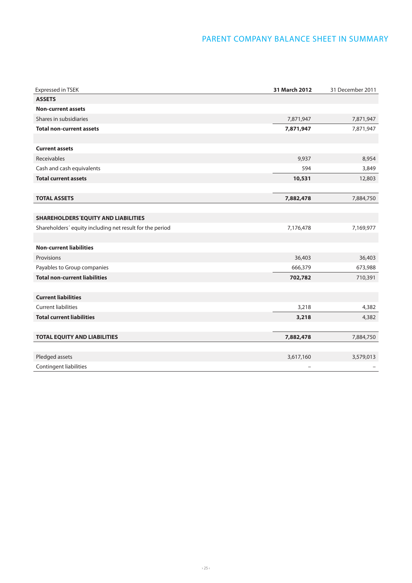## PARENT COMPANY BALANCE SHEET IN SUMMARY

| Expressed in TSEK                                        | 31 March 2012 | 31 December 2011 |
|----------------------------------------------------------|---------------|------------------|
| <b>ASSETS</b>                                            |               |                  |
| <b>Non-current assets</b>                                |               |                  |
| Shares in subsidiaries                                   | 7,871,947     | 7,871,947        |
| <b>Total non-current assets</b>                          | 7,871,947     | 7,871,947        |
|                                                          |               |                  |
| <b>Current assets</b>                                    |               |                  |
| Receivables                                              | 9,937         | 8,954            |
| Cash and cash equivalents                                | 594           | 3,849            |
| <b>Total current assets</b>                              | 10,531        | 12,803           |
|                                                          |               |                  |
| <b>TOTAL ASSETS</b>                                      | 7,882,478     | 7,884,750        |
|                                                          |               |                  |
| <b>SHAREHOLDERS EQUITY AND LIABILITIES</b>               |               |                  |
| Shareholders' equity including net result for the period | 7,176,478     | 7,169,977        |
|                                                          |               |                  |
| <b>Non-current liabilities</b>                           |               |                  |
| Provisions                                               | 36,403        | 36,403           |
| Payables to Group companies                              | 666,379       | 673,988          |
| <b>Total non-current liabilities</b>                     | 702,782       | 710,391          |
|                                                          |               |                  |
| <b>Current liabilities</b>                               |               |                  |
| <b>Current liabilities</b>                               | 3,218         | 4,382            |
| <b>Total current liabilities</b>                         | 3,218         | 4,382            |
|                                                          |               |                  |
| <b>TOTAL EQUITY AND LIABILITIES</b>                      | 7,882,478     | 7,884,750        |
|                                                          |               |                  |
| Pledged assets                                           | 3,617,160     | 3,579,013        |
| <b>Contingent liabilities</b>                            |               |                  |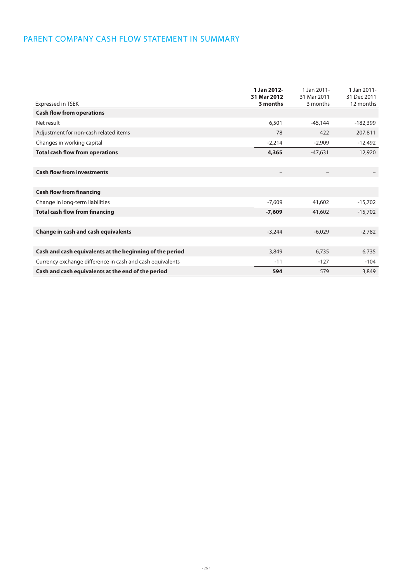## PARENT COMPANY CASH FLOW STATEMENT IN SUMMARY

|                                                           | 1 Jan 2012- | 1 Jan 2011- | 1 Jan 2011- |
|-----------------------------------------------------------|-------------|-------------|-------------|
|                                                           | 31 Mar 2012 | 31 Mar 2011 | 31 Dec 2011 |
| Expressed in TSEK                                         | 3 months    | 3 months    | 12 months   |
| <b>Cash flow from operations</b>                          |             |             |             |
| Net result                                                | 6,501       | $-45,144$   | $-182,399$  |
| Adjustment for non-cash related items                     | 78          | 422         | 207,811     |
| Changes in working capital                                | $-2,214$    | $-2,909$    | $-12,492$   |
| <b>Total cash flow from operations</b>                    | 4,365       | $-47,631$   | 12,920      |
|                                                           |             |             |             |
| <b>Cash flow from investments</b>                         |             |             |             |
|                                                           |             |             |             |
| <b>Cash flow from financing</b>                           |             |             |             |
| Change in long-term liabilities                           | $-7,609$    | 41,602      | $-15,702$   |
| <b>Total cash flow from financing</b>                     | $-7,609$    | 41,602      | $-15,702$   |
|                                                           |             |             |             |
| <b>Change in cash and cash equivalents</b>                | $-3,244$    | $-6,029$    | $-2,782$    |
|                                                           |             |             |             |
| Cash and cash equivalents at the beginning of the period  | 3,849       | 6,735       | 6,735       |
| Currency exchange difference in cash and cash equivalents | $-11$       | $-127$      | $-104$      |
| Cash and cash equivalents at the end of the period        | 594         | 579         | 3,849       |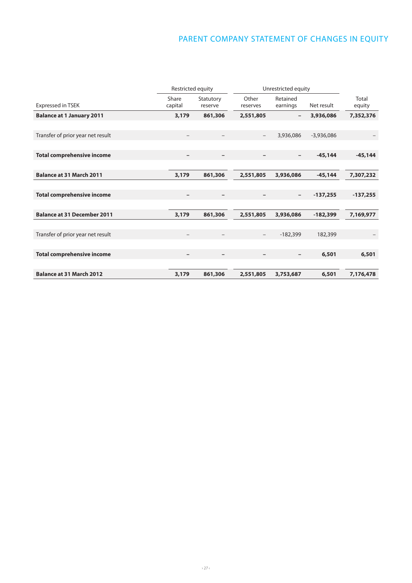## PARENT COMPANY STATEMENT OF CHANGES IN EQUITY

|                                    | Restricted equity |                      | Unrestricted equity |                          |              |                 |
|------------------------------------|-------------------|----------------------|---------------------|--------------------------|--------------|-----------------|
| <b>Expressed in TSEK</b>           | Share<br>capital  | Statutory<br>reserve | Other<br>reserves   | Retained<br>earnings     | Net result   | Total<br>equity |
| <b>Balance at 1 January 2011</b>   | 3,179             | 861,306              | 2,551,805           | $\overline{\phantom{0}}$ | 3,936,086    | 7,352,376       |
|                                    |                   |                      |                     |                          |              |                 |
| Transfer of prior year net result  |                   |                      |                     | 3,936,086                | $-3,936,086$ |                 |
|                                    |                   |                      |                     |                          |              |                 |
| <b>Total comprehensive income</b>  |                   |                      |                     |                          | $-45,144$    | $-45,144$       |
|                                    |                   |                      |                     |                          |              |                 |
| <b>Balance at 31 March 2011</b>    | 3,179             | 861,306              | 2,551,805           | 3,936,086                | $-45,144$    | 7,307,232       |
|                                    |                   |                      |                     |                          |              |                 |
| <b>Total comprehensive income</b>  | -                 | $\qquad \qquad -$    |                     | $\qquad \qquad -$        | $-137,255$   | $-137,255$      |
|                                    |                   |                      |                     |                          |              |                 |
| <b>Balance at 31 December 2011</b> | 3,179             | 861,306              | 2,551,805           | 3,936,086                | $-182,399$   | 7,169,977       |
|                                    |                   |                      |                     |                          |              |                 |
| Transfer of prior year net result  |                   |                      | $\qquad \qquad -$   | $-182,399$               | 182,399      |                 |
|                                    |                   |                      |                     |                          |              |                 |
| <b>Total comprehensive income</b>  | -                 | $\qquad \qquad -$    | -                   | -                        | 6,501        | 6,501           |
|                                    |                   |                      |                     |                          |              |                 |
| <b>Balance at 31 March 2012</b>    | 3,179             | 861,306              | 2,551,805           | 3,753,687                | 6,501        | 7,176,478       |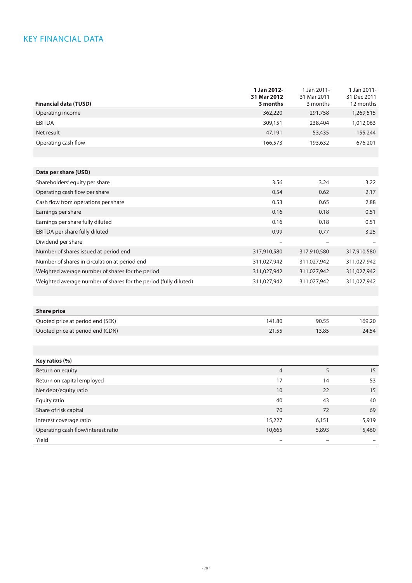### KEY FINANCIAL DATA

|                                                                  | 1 Jan 2012-<br>31 Mar 2012 | 1 Jan 2011-<br>31 Mar 2011 | 1 Jan 2011-<br>31 Dec 2011 |
|------------------------------------------------------------------|----------------------------|----------------------------|----------------------------|
| <b>Financial data (TUSD)</b>                                     | 3 months                   | 3 months                   | 12 months                  |
| Operating income                                                 | 362,220                    | 291,758                    | 1,269,515                  |
| <b>EBITDA</b>                                                    | 309,151                    | 238,404                    | 1,012,063                  |
| Net result                                                       | 47,191                     | 53,435                     | 155,244                    |
| Operating cash flow                                              | 166,573                    | 193,632                    | 676,201                    |
|                                                                  |                            |                            |                            |
|                                                                  |                            |                            |                            |
| Data per share (USD)                                             |                            |                            |                            |
| Shareholders' equity per share                                   | 3.56                       | 3.24                       | 3.22                       |
| Operating cash flow per share                                    | 0.54                       | 0.62                       | 2.17                       |
| Cash flow from operations per share                              | 0.53                       | 0.65                       | 2.88                       |
| Earnings per share                                               | 0.16                       | 0.18                       | 0.51                       |
| Earnings per share fully diluted                                 | 0.16                       | 0.18                       | 0.51                       |
| EBITDA per share fully diluted                                   | 0.99                       | 0.77                       | 3.25                       |
| Dividend per share                                               |                            |                            |                            |
| Number of shares issued at period end                            | 317,910,580                | 317,910,580                | 317,910,580                |
| Number of shares in circulation at period end                    | 311,027,942                | 311,027,942                | 311,027,942                |
| Weighted average number of shares for the period                 | 311,027,942                | 311,027,942                | 311,027,942                |
| Weighted average number of shares for the period (fully diluted) | 311,027,942                | 311,027,942                | 311,027,942                |
|                                                                  |                            |                            |                            |
|                                                                  |                            |                            |                            |
| <b>Share price</b>                                               |                            |                            |                            |
| Quoted price at period end (SEK)                                 | 141.80                     | 90.55                      | 169.20                     |
| Quoted price at period end (CDN)                                 | 21.55                      | 13.85                      | 24.54                      |
|                                                                  |                            |                            |                            |
|                                                                  |                            |                            |                            |
| Key ratios (%)                                                   |                            |                            |                            |
| Return on equity                                                 | $\overline{4}$             | 5                          | 15                         |
| Return on capital employed                                       | 17                         | 14                         | 53                         |
| Net debt/equity ratio                                            | 10                         | 22                         | 15                         |
| Equity ratio                                                     | 40                         | 43                         | 40                         |
| Share of risk capital                                            | 70                         | 72                         | 69                         |
| Interest coverage ratio                                          | 15,227                     | 6,151                      | 5,919                      |
| Operating cash flow/interest ratio                               | 10,665                     | 5,893                      | 5,460                      |
| Yield                                                            |                            |                            |                            |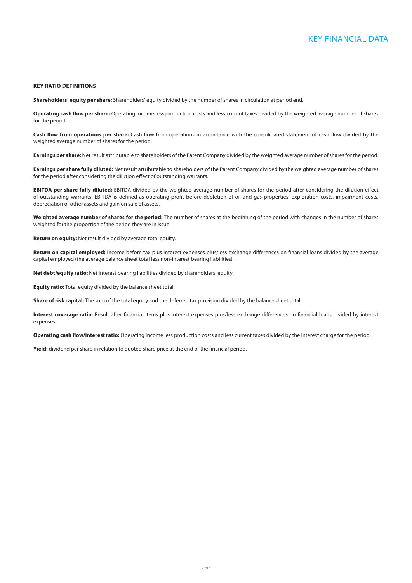#### **KEY RATIO DEFINITIONS**

**Shareholders' equity per share:** Shareholders' equity divided by the number of shares in circulation at period end.

**Operating cash flow per share:** Operating income less production costs and less current taxes divided by the weighted average number of shares for the period.

**Cash flow from operations per share:** Cash flow from operations in accordance with the consolidated statement of cash flow divided by the weighted average number of shares for the period.

**Earnings per share:** Net result attributable to shareholders of the Parent Company divided by the weighted average number ofsharesfor the period.

**Earnings per share fully diluted:** Net result attributable to shareholders of the Parent Company divided by the weighted average number of shares for the period after considering the dilution effect of outstanding warrants.

**EBITDA per share fully diluted:** EBITDA divided by the weighted average number of shares for the period after considering the dilution effect of outstanding warrants. EBITDA is defined as operating profit before depletion of oil and gas properties, exploration costs, impairment costs, depreciation of other assets and gain on sale of assets.

**Weighted average number of shares for the period:** The number of shares at the beginning of the period with changes in the number of shares weighted for the proportion of the period they are in issue.

**Return on equity:** Net result divided by average total equity.

**Return on capital employed:** Income before tax plus interest expenses plus/less exchange differences on financial loans divided by the average capital employed (the average balance sheet total less non-interest bearing liabilities).

**Net debt/equity ratio:** Net interest bearing liabilities divided by shareholders' equity.

**Equity ratio:** Total equity divided by the balance sheet total.

**Share of risk capital:** The sum of the total equity and the deferred tax provision divided by the balance sheet total.

**Interest coverage ratio:** Result after financial items plus interest expenses plus/less exchange differences on financial loans divided by interest expenses.

**Operating cash flow/interest ratio:** Operating income less production costs and less current taxes divided by the interest charge for the period.

**Yield:** dividend per share in relation to quoted share price at the end of the financial period.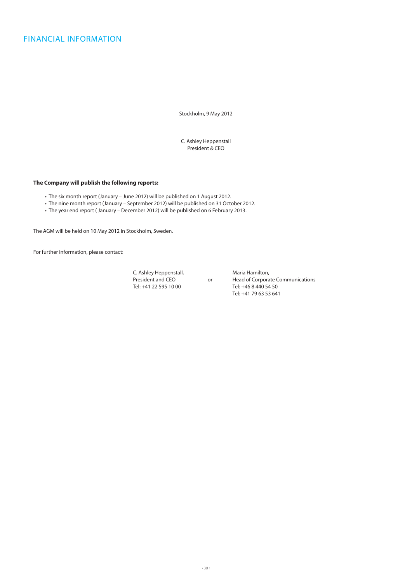Stockholm, 9 May 2012

C. Ashley Heppenstall President & CEO

#### **The Company will publish the following reports:**

- The six month report (January June 2012) will be published on 1 August 2012.
- The nine month report (January September 2012) will be published on 31 October 2012.
- The year end report ( January December 2012) will be published on 6 February 2013.

The AGM will be held on 10 May 2012 in Stockholm, Sweden.

For further information, please contact:

C. Ashley Heppenstall, **C. Ashley Heppenstall**,

President and CEO 
or
Head of Corporate Communications

Tel: +41 22 595 10 00

Tel: +46 8 440 54 50 Tel: +46 8 440 54 50 Tel: +41 79 63 53 641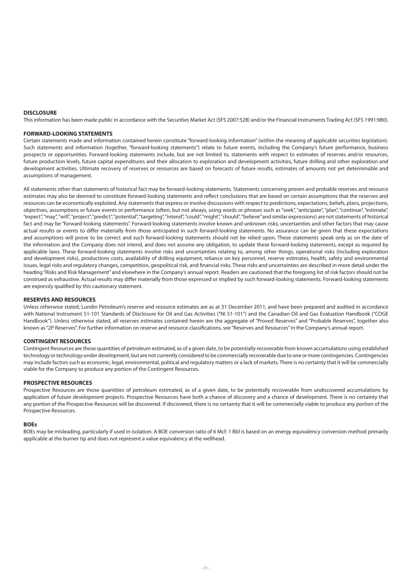#### **DISCLOSURE**

Thisinformation has been made public in accordance with the Securities Market Act (SFS 2007:528) and/or the Financial Instruments Trading Act (SFS 1991:980).

#### **FORWARD-LOOKING STATEMENTS**

Certain statements made and information contained herein constitute "forward-looking information"(within the meaning of applicable securities legislation). Such statements and information (together, "forward-looking statements") relate to future events, including the Company's future performance, business prospects or opportunities. Forward-looking statements include, but are not limited to, statements with respect to estimates of reserves and/or resources, future production levels, future capital expenditures and their allocation to exploration and development activities, future drilling and other exploration and development activities. Ultimate recovery of reserves or resources are based on forecasts of future results, estimates of amounts not yet determinable and assumptions of management.

All statements other than statements of historical fact may be forward-looking statements. Statements concerning proven and probable reserves and resource estimates may also be deemed to constitute forward-looking statements and reflect conclusions that are based on certain assumptions that the reserves and resources can be economically exploited. Any statements that express or involve discussions with respect to predictions, expectations, beliefs, plans, projections, objectives, assumptions or future events or performance (often, but not always, using words or phrases such as"seek","anticipate","plan","continue","estimate", "expect", "may", "will", "project", "predict", "potential", "targeting", "intend", "could", "might", "should", "believe" and similar expressions) are not statements of historical fact and may be "forward-looking statements". Forward-looking statements involve known and unknown risks, uncertainties and other factors that may cause actual results or events to differ materially from those anticipated in such forward-looking statements. No assurance can be given that these expectations and assumptions will prove to be correct and such forward-looking statements should not be relied upon. These statements speak only as on the date of the information and the Company does not intend, and does not assume any obligation, to update these forward-looking statements, except as required by applicable laws. These forward-looking statements involve risks and uncertainties relating to, among other things, operational risks (including exploration and development risks), productions costs, availability of drilling equipment, reliance on key personnel, reserve estimates, health, safety and environmental issues, legal risks and regulatory changes, competition, geopolitical risk, and financial risks. These risks and uncertainties are described in more detail under the heading"Risks and Risk Management" and elsewhere in the Company's annual report. Readers are cautioned that the foregoing list of risk factors should not be construed as exhaustive. Actual results may differ materially from those expressed or implied by such forward-looking statements. Forward-looking statements are expressly qualified by this cautionary statement.

#### **RESERVES AND RESOURCES**

Unless otherwise stated, Lundin Petroleum's reserve and resource estimates are as at 31 December 2011, and have been prepared and audited in accordance with National Instrument 51-101 Standards of Disclosure for Oil and Gas Activities ("NI 51-101") and the Canadian Oil and Gas Evaluation Handbook ("COGE Handbook"). Unless otherwise stated, all reserves estimates contained herein are the aggregate of "Proved Reserves" and "Probable Reserves", together also known as"2P Reserves". For further information on reserve and resource classifications, see "Reserves and Resources"in the Company's annual report.

#### **CONTINGENT RESOURCES**

Contingent Resources are those quantities of petroleum estimated, as of a given date, to be potentially recoverable from known accumulations using established technology ortechnology under development, but are not currently considered to be commercially recoverable due to one or more contingencies. Contingencies may include factorssuch as economic, legal, environmental, political and regulatory matters or a lack of markets. There is no certainty that it will be commercially viable for the Company to produce any portion of the Contingent Resources.

#### **PROSPECTIVE RESOURCES**

Prospective Resources are those quantities of petroleum estimated, as of a given date, to be potentially recoverable from undiscovered accumulations by application of future development projects. Prospective Resources have both a chance of discovery and a chance of development. There is no certainty that any portion of the Prospective Resources will be discovered. If discovered, there is no certainty that it will be commercially viable to produce any portion of the Prospective Resources.

#### **BOEs**

BOEs may be misleading, particularly if used in isolation. A BOE conversion ratio of 6 Mcf: 1 Bbl is based on an energy equivalency conversion method primarily applicable at the burner tip and does not represent a value equivalency at the wellhead.